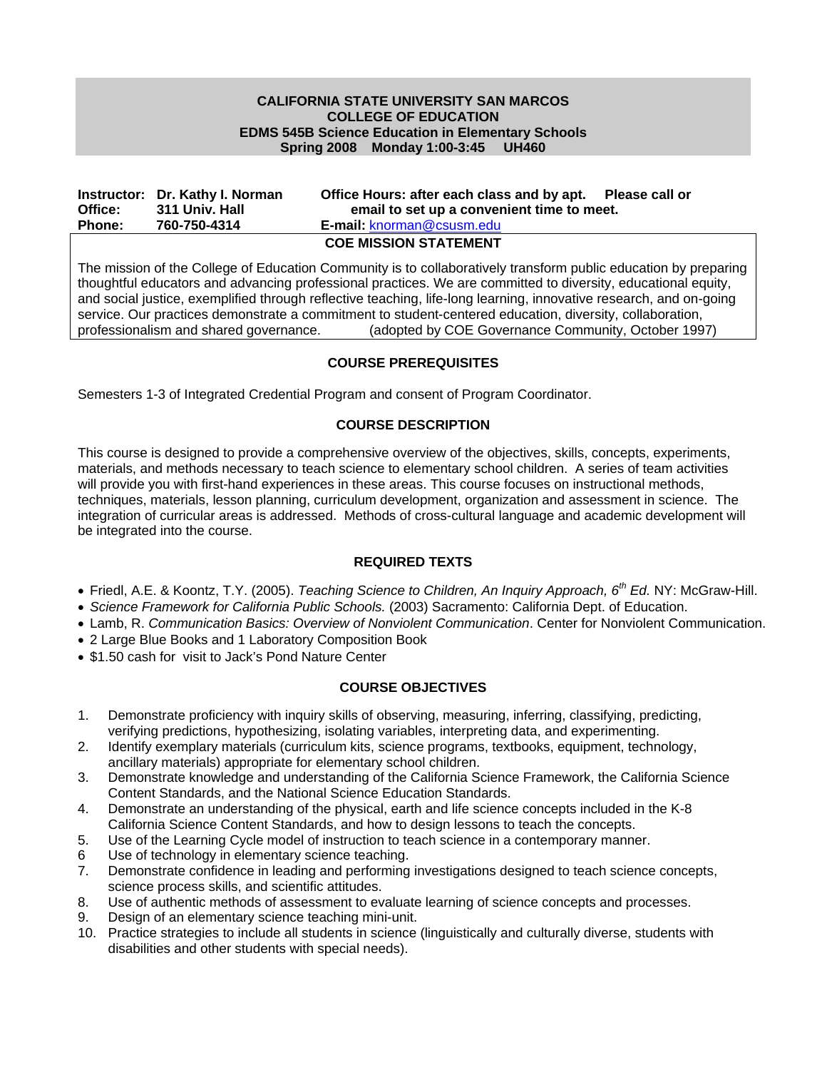### **CALIFORNIA STATE UNIVERSITY SAN MARCOS COLLEGE OF EDUCATION EDMS 545B Science Education in Elementary Schools Spring 2008 Monday 1:00-3:45 UH460**

|               | Instructor: Dr. Kathy I. Norman | Office Hours: after each class and by apt. Please call or |
|---------------|---------------------------------|-----------------------------------------------------------|
| Office:       | 311 Univ. Hall                  | email to set up a convenient time to meet.                |
| <b>Phone:</b> | 760-750-4314                    | <b>E-mail: knorman@csusm.edu</b>                          |
|               |                                 | <b>OOF MICCION OT ATFMENT</b>                             |

**COE MISSION STATEMENT** 

The mission of the College of Education Community is to collaboratively transform public education by preparing thoughtful educators and advancing professional practices. We are committed to diversity, educational equity, and social justice, exemplified through reflective teaching, life-long learning, innovative research, and on-going service. Our practices demonstrate a commitment to student-centered education, diversity, collaboration, professionalism and shared governance. (adopted by COE Governance Community, October 1997)

### **COURSE PREREQUISITES**

Semesters 1-3 of Integrated Credential Program and consent of Program Coordinator.

### **COURSE DESCRIPTION**

This course is designed to provide a comprehensive overview of the objectives, skills, concepts, experiments, materials, and methods necessary to teach science to elementary school children. A series of team activities will provide you with first-hand experiences in these areas. This course focuses on instructional methods, techniques, materials, lesson planning, curriculum development, organization and assessment in science. The integration of curricular areas is addressed. Methods of cross-cultural language and academic development will be integrated into the course.

### **REQUIRED TEXTS**

- Friedl, A.E. & Koontz, T.Y. (2005). *Teaching Science to Children, An Inquiry Approach, 6th Ed.* NY: McGraw-Hill.
- *Science Framework for California Public Schools.* (2003) Sacramento: California Dept. of Education.
- Lamb, R. *Communication Basics: Overview of Nonviolent Communication*. Center for Nonviolent Communication.
- 2 Large Blue Books and 1 Laboratory Composition Book
- \$1.50 cash for visit to Jack's Pond Nature Center

# **COURSE OBJECTIVES**

- 1. Demonstrate proficiency with inquiry skills of observing, measuring, inferring, classifying, predicting, verifying predictions, hypothesizing, isolating variables, interpreting data, and experimenting.
- 2. Identify exemplary materials (curriculum kits, science programs, textbooks, equipment, technology, ancillary materials) appropriate for elementary school children.
- 3. Demonstrate knowledge and understanding of the California Science Framework, the California Science Content Standards, and the National Science Education Standards.
- 4. Demonstrate an understanding of the physical, earth and life science concepts included in the K-8 California Science Content Standards, and how to design lessons to teach the concepts.
- 5. Use of the Learning Cycle model of instruction to teach science in a contemporary manner.
- 6 Use of technology in elementary science teaching.
- 7. Demonstrate confidence in leading and performing investigations designed to teach science concepts, science process skills, and scientific attitudes.
- 8. Use of authentic methods of assessment to evaluate learning of science concepts and processes.
- 9. Design of an elementary science teaching mini-unit.
- 10. Practice strategies to include all students in science (linguistically and culturally diverse, students with disabilities and other students with special needs).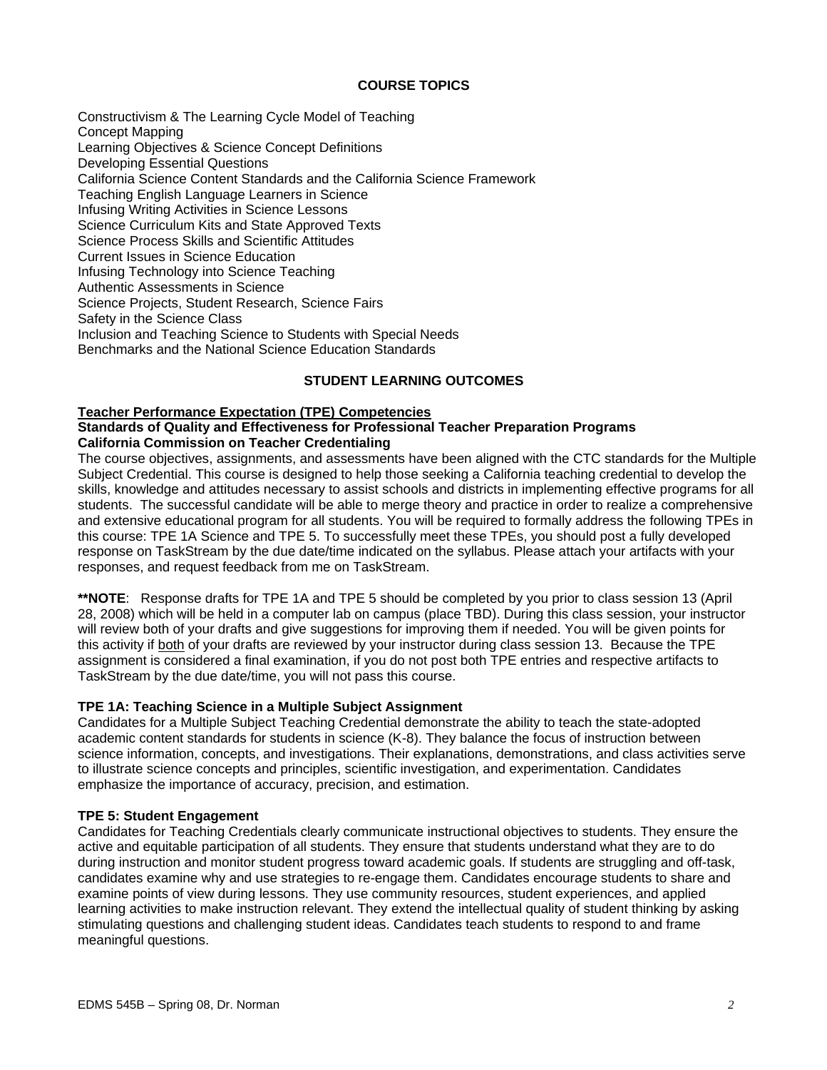### **COURSE TOPICS**

Constructivism & The Learning Cycle Model of Teaching Concept Mapping Learning Objectives & Science Concept Definitions Developing Essential Questions California Science Content Standards and the California Science Framework Teaching English Language Learners in Science Infusing Writing Activities in Science Lessons Science Curriculum Kits and State Approved Texts Science Process Skills and Scientific Attitudes Current Issues in Science Education Infusing Technology into Science Teaching Authentic Assessments in Science Science Projects, Student Research, Science Fairs Safety in the Science Class Inclusion and Teaching Science to Students with Special Needs Benchmarks and the National Science Education Standards

### **STUDENT LEARNING OUTCOMES**

#### **Teacher Performance Expectation (TPE) Competencies**

#### **Standards of Quality and Effectiveness for Professional Teacher Preparation Programs California Commission on Teacher Credentialing**

The course objectives, assignments, and assessments have been aligned with the CTC standards for the Multiple Subject Credential. This course is designed to help those seeking a California teaching credential to develop the skills, knowledge and attitudes necessary to assist schools and districts in implementing effective programs for all students. The successful candidate will be able to merge theory and practice in order to realize a comprehensive and extensive educational program for all students. You will be required to formally address the following TPEs in this course: TPE 1A Science and TPE 5. To successfully meet these TPEs, you should post a fully developed response on TaskStream by the due date/time indicated on the syllabus. Please attach your artifacts with your responses, and request feedback from me on TaskStream.

**\*\*NOTE**: Response drafts for TPE 1A and TPE 5 should be completed by you prior to class session 13 (April 28, 2008) which will be held in a computer lab on campus (place TBD). During this class session, your instructor will review both of your drafts and give suggestions for improving them if needed. You will be given points for this activity if both of your drafts are reviewed by your instructor during class session 13. Because the TPE assignment is considered a final examination, if you do not post both TPE entries and respective artifacts to TaskStream by the due date/time, you will not pass this course.

### **TPE 1A: Teaching Science in a Multiple Subject Assignment**

Candidates for a Multiple Subject Teaching Credential demonstrate the ability to teach the state-adopted academic content standards for students in science (K-8). They balance the focus of instruction between science information, concepts, and investigations. Their explanations, demonstrations, and class activities serve to illustrate science concepts and principles, scientific investigation, and experimentation. Candidates emphasize the importance of accuracy, precision, and estimation.

#### **TPE 5: Student Engagement**

Candidates for Teaching Credentials clearly communicate instructional objectives to students. They ensure the active and equitable participation of all students. They ensure that students understand what they are to do during instruction and monitor student progress toward academic goals. If students are struggling and off-task, candidates examine why and use strategies to re-engage them. Candidates encourage students to share and examine points of view during lessons. They use community resources, student experiences, and applied learning activities to make instruction relevant. They extend the intellectual quality of student thinking by asking stimulating questions and challenging student ideas. Candidates teach students to respond to and frame meaningful questions.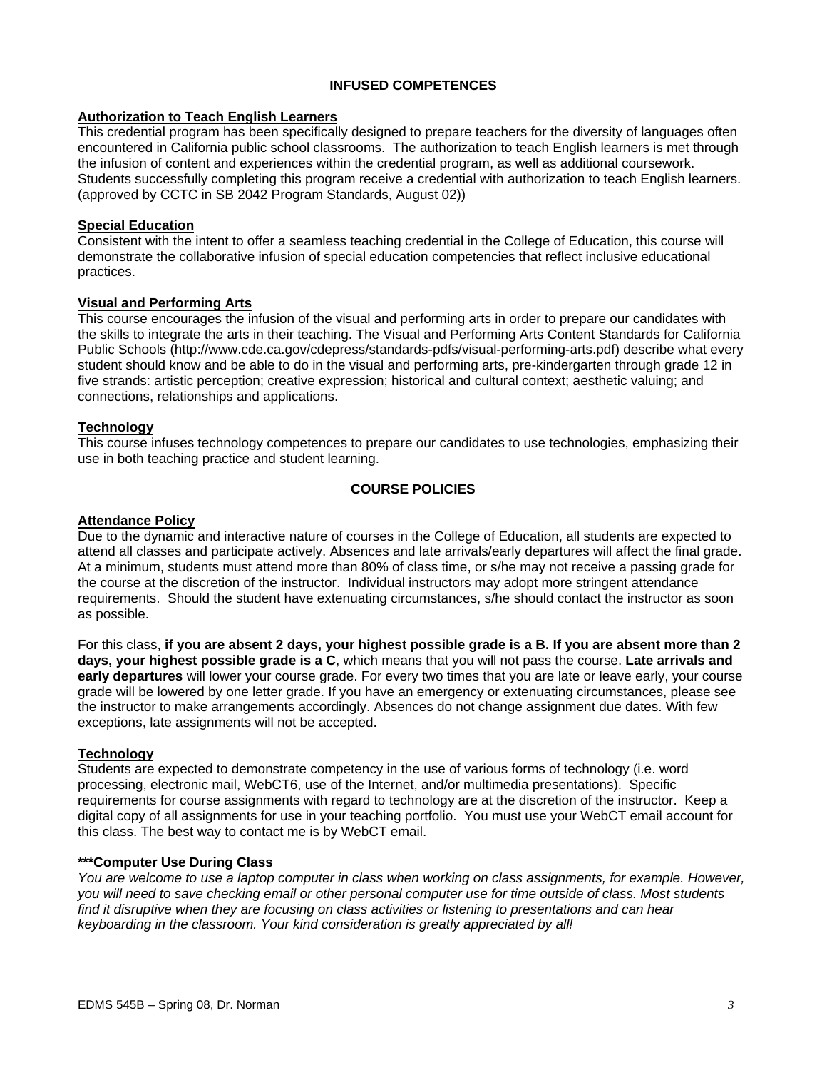### **INFUSED COMPETENCES**

#### **Authorization to Teach English Learners**

This credential program has been specifically designed to prepare teachers for the diversity of languages often encountered in California public school classrooms. The authorization to teach English learners is met through the infusion of content and experiences within the credential program, as well as additional coursework. Students successfully completing this program receive a credential with authorization to teach English learners. (approved by CCTC in SB 2042 Program Standards, August 02))

#### **Special Education**

Consistent with the intent to offer a seamless teaching credential in the College of Education, this course will demonstrate the collaborative infusion of special education competencies that reflect inclusive educational practices.

#### **Visual and Performing Arts**

This course encourages the infusion of the visual and performing arts in order to prepare our candidates with the skills to integrate the arts in their teaching. The Visual and Performing Arts Content Standards for California Public Schools (http://www.cde.ca.gov/cdepress/standards-pdfs/visual-performing-arts.pdf) describe what every student should know and be able to do in the visual and performing arts, pre-kindergarten through grade 12 in five strands: artistic perception; creative expression; historical and cultural context; aesthetic valuing; and connections, relationships and applications.

#### **Technology**

This course infuses technology competences to prepare our candidates to use technologies, emphasizing their use in both teaching practice and student learning.

### **COURSE POLICIES**

### **Attendance Policy**

Due to the dynamic and interactive nature of courses in the College of Education, all students are expected to attend all classes and participate actively. Absences and late arrivals/early departures will affect the final grade. At a minimum, students must attend more than 80% of class time, or s/he may not receive a passing grade for the course at the discretion of the instructor. Individual instructors may adopt more stringent attendance requirements. Should the student have extenuating circumstances, s/he should contact the instructor as soon as possible.

For this class, **if you are absent 2 days, your highest possible grade is a B. If you are absent more than 2 days, your highest possible grade is a C**, which means that you will not pass the course. **Late arrivals and early departures** will lower your course grade. For every two times that you are late or leave early, your course grade will be lowered by one letter grade. If you have an emergency or extenuating circumstances, please see the instructor to make arrangements accordingly. Absences do not change assignment due dates. With few exceptions, late assignments will not be accepted.

#### **Technology**

Students are expected to demonstrate competency in the use of various forms of technology (i.e. word processing, electronic mail, WebCT6, use of the Internet, and/or multimedia presentations). Specific requirements for course assignments with regard to technology are at the discretion of the instructor. Keep a digital copy of all assignments for use in your teaching portfolio. You must use your WebCT email account for this class. The best way to contact me is by WebCT email.

#### **\*\*\*Computer Use During Class**

*You are welcome to use a laptop computer in class when working on class assignments, for example. However, you will need to save checking email or other personal computer use for time outside of class. Most students find it disruptive when they are focusing on class activities or listening to presentations and can hear keyboarding in the classroom. Your kind consideration is greatly appreciated by all!*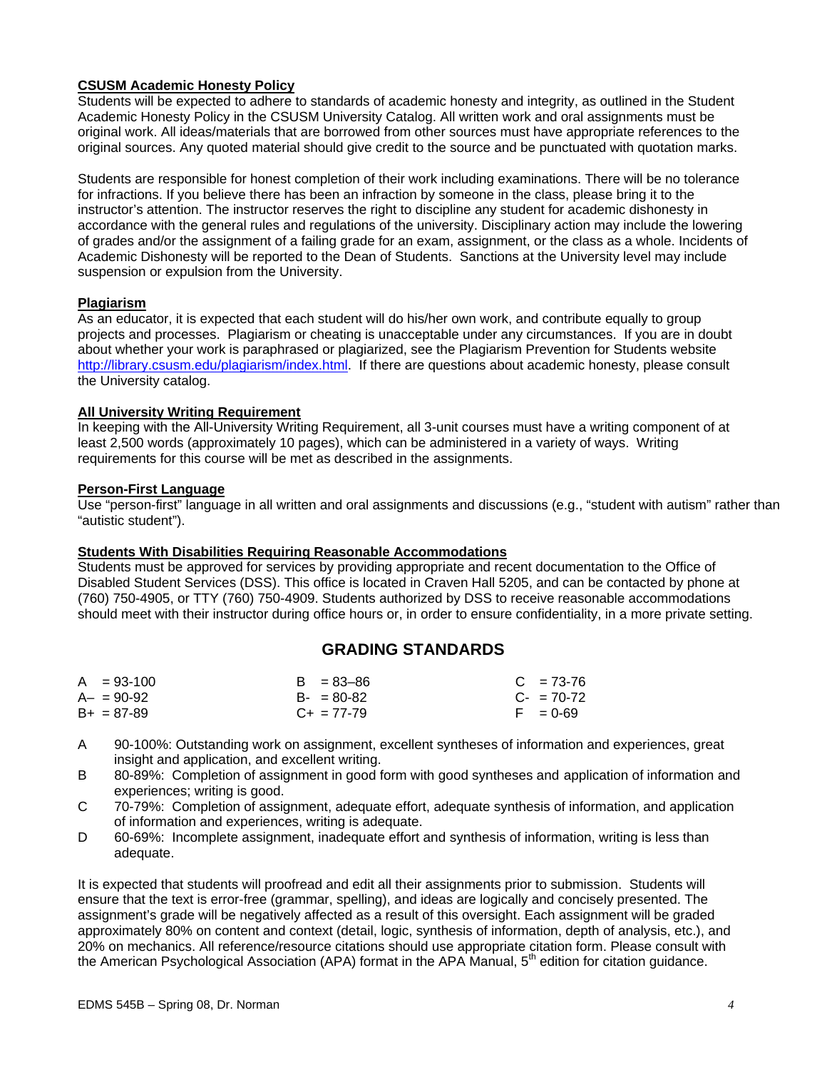### **CSUSM Academic Honesty Policy**

Students will be expected to adhere to standards of academic honesty and integrity, as outlined in the Student Academic Honesty Policy in the CSUSM University Catalog. All written work and oral assignments must be original work. All ideas/materials that are borrowed from other sources must have appropriate references to the original sources. Any quoted material should give credit to the source and be punctuated with quotation marks.

Students are responsible for honest completion of their work including examinations. There will be no tolerance for infractions. If you believe there has been an infraction by someone in the class, please bring it to the instructor's attention. The instructor reserves the right to discipline any student for academic dishonesty in accordance with the general rules and regulations of the university. Disciplinary action may include the lowering of grades and/or the assignment of a failing grade for an exam, assignment, or the class as a whole. Incidents of Academic Dishonesty will be reported to the Dean of Students. Sanctions at the University level may include suspension or expulsion from the University.

#### **Plagiarism**

As an educator, it is expected that each student will do his/her own work, and contribute equally to group projects and processes. Plagiarism or cheating is unacceptable under any circumstances. If you are in doubt about whether your work is paraphrased or plagiarized, see the Plagiarism Prevention for Students website http://library.csusm.edu/plagiarism/index.html. If there are questions about academic honesty, please consult the University catalog.

### **All University Writing Requirement**

In keeping with the All-University Writing Requirement, all 3-unit courses must have a writing component of at least 2,500 words (approximately 10 pages), which can be administered in a variety of ways. Writing requirements for this course will be met as described in the assignments.

#### **Person-First Language**

Use "person-first" language in all written and oral assignments and discussions (e.g., "student with autism" rather than "autistic student").

#### **Students With Disabilities Requiring Reasonable Accommodations**

Students must be approved for services by providing appropriate and recent documentation to the Office of Disabled Student Services (DSS). This office is located in Craven Hall 5205, and can be contacted by phone at (760) 750-4905, or TTY (760) 750-4909. Students authorized by DSS to receive reasonable accommodations should meet with their instructor during office hours or, in order to ensure confidentiality, in a more private setting.

# **GRADING STANDARDS**

| $A = 93-100$    | $B = 83 - 86$   | $C = 73-76$ |
|-----------------|-----------------|-------------|
| $A - = 90 - 92$ | $B - 80 - 82$   | $C - 70-72$ |
| $B+ = 87-89$    | $C_{+}$ = 77-79 | $F = 0.69$  |

- A 90-100%: Outstanding work on assignment, excellent syntheses of information and experiences, great insight and application, and excellent writing.
- B 80-89%: Completion of assignment in good form with good syntheses and application of information and experiences; writing is good.
- C 70-79%: Completion of assignment, adequate effort, adequate synthesis of information, and application of information and experiences, writing is adequate.
- D 60-69%: Incomplete assignment, inadequate effort and synthesis of information, writing is less than adequate.

It is expected that students will proofread and edit all their assignments prior to submission. Students will ensure that the text is error-free (grammar, spelling), and ideas are logically and concisely presented. The assignment's grade will be negatively affected as a result of this oversight. Each assignment will be graded approximately 80% on content and context (detail, logic, synthesis of information, depth of analysis, etc.), and 20% on mechanics. All reference/resource citations should use appropriate citation form. Please consult with the American Psychological Association (APA) format in the APA Manual,  $5<sup>th</sup>$  edition for citation guidance.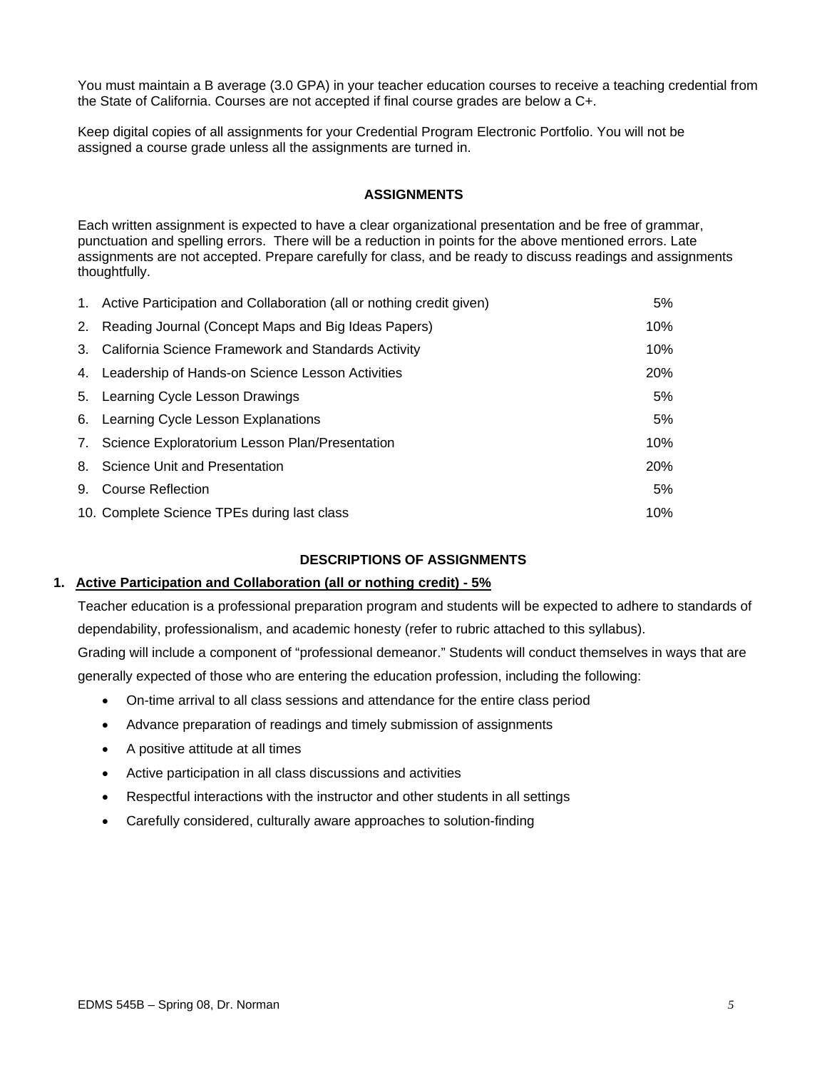You must maintain a B average (3.0 GPA) in your teacher education courses to receive a teaching credential from the State of California. Courses are not accepted if final course grades are below a C+.

Keep digital copies of all assignments for your Credential Program Electronic Portfolio. You will not be assigned a course grade unless all the assignments are turned in.

#### **ASSIGNMENTS**

Each written assignment is expected to have a clear organizational presentation and be free of grammar, punctuation and spelling errors. There will be a reduction in points for the above mentioned errors. Late assignments are not accepted. Prepare carefully for class, and be ready to discuss readings and assignments thoughtfully.

| 1. Active Participation and Collaboration (all or nothing credit given) | 5%  |
|-------------------------------------------------------------------------|-----|
| 2. Reading Journal (Concept Maps and Big Ideas Papers)                  | 10% |
| 3. California Science Framework and Standards Activity                  | 10% |
| 4. Leadership of Hands-on Science Lesson Activities                     | 20% |
| 5. Learning Cycle Lesson Drawings                                       | 5%  |
| 6. Learning Cycle Lesson Explanations                                   | 5%  |
| 7. Science Exploratorium Lesson Plan/Presentation                       | 10% |
| 8. Science Unit and Presentation                                        | 20% |
| 9. Course Reflection                                                    | 5%  |
| 10. Complete Science TPEs during last class                             | 10% |

### **DESCRIPTIONS OF ASSIGNMENTS**

#### **1. Active Participation and Collaboration (all or nothing credit) - 5%**

Teacher education is a professional preparation program and students will be expected to adhere to standards of dependability, professionalism, and academic honesty (refer to rubric attached to this syllabus). Grading will include a component of "professional demeanor." Students will conduct themselves in ways that are generally expected of those who are entering the education profession, including the following:

- On-time arrival to all class sessions and attendance for the entire class period
- Advance preparation of readings and timely submission of assignments
- A positive attitude at all times
- Active participation in all class discussions and activities
- Respectful interactions with the instructor and other students in all settings
- Carefully considered, culturally aware approaches to solution-finding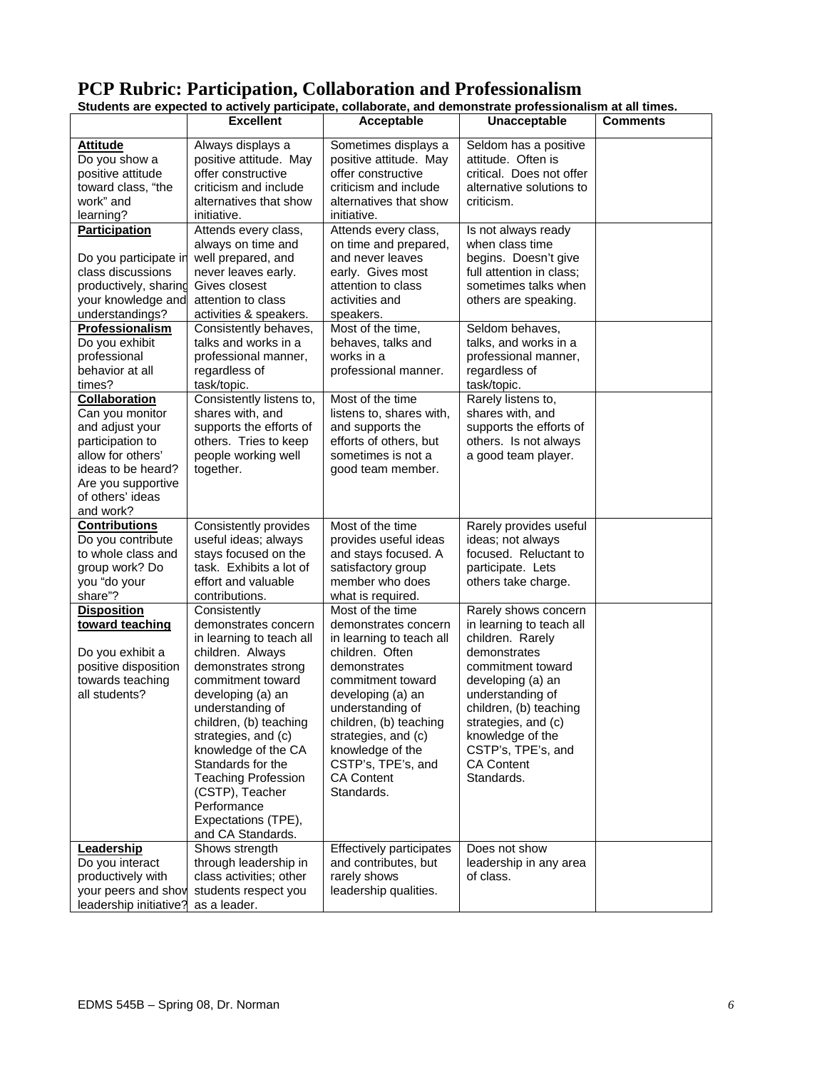# **PCP Rubric: Participation, Collaboration and Professionalism**

|                        | otuuchts are expecteu to actricity participate, conaborate, anu uchionstrate professionalism at air imies. |                          |                                   |                 |
|------------------------|------------------------------------------------------------------------------------------------------------|--------------------------|-----------------------------------|-----------------|
|                        | <b>Excellent</b>                                                                                           | Acceptable               | Unacceptable                      | <b>Comments</b> |
| <b>Attitude</b>        | Always displays a                                                                                          | Sometimes displays a     | Seldom has a positive             |                 |
| Do you show a          | positive attitude. May                                                                                     | positive attitude. May   | attitude. Often is                |                 |
| positive attitude      | offer constructive                                                                                         | offer constructive       | critical. Does not offer          |                 |
| toward class, "the     | criticism and include                                                                                      | criticism and include    | alternative solutions to          |                 |
| work" and              | alternatives that show                                                                                     | alternatives that show   | criticism.                        |                 |
| learning?              | initiative.                                                                                                | initiative.              |                                   |                 |
| <b>Participation</b>   | Attends every class,                                                                                       | Attends every class,     | Is not always ready               |                 |
|                        | always on time and                                                                                         | on time and prepared,    | when class time                   |                 |
| Do you participate in  | well prepared, and                                                                                         | and never leaves         | begins. Doesn't give              |                 |
| class discussions      | never leaves early.                                                                                        | early. Gives most        | full attention in class;          |                 |
| productively, sharing  | Gives closest                                                                                              | attention to class       | sometimes talks when              |                 |
| your knowledge and     | attention to class                                                                                         | activities and           | others are speaking.              |                 |
| understandings?        | activities & speakers.                                                                                     | speakers.                |                                   |                 |
| Professionalism        | Consistently behaves,                                                                                      | Most of the time,        | Seldom behaves,                   |                 |
| Do you exhibit         | talks and works in a                                                                                       | behaves, talks and       | talks, and works in a             |                 |
| professional           | professional manner,                                                                                       | works in a               | professional manner,              |                 |
| behavior at all        |                                                                                                            |                          |                                   |                 |
|                        | regardless of                                                                                              | professional manner.     | regardless of                     |                 |
| times?                 | task/topic.                                                                                                | Most of the time         | task/topic.<br>Rarely listens to, |                 |
| Collaboration          | Consistently listens to,                                                                                   |                          |                                   |                 |
| Can you monitor        | shares with, and                                                                                           | listens to, shares with, | shares with, and                  |                 |
| and adjust your        | supports the efforts of                                                                                    | and supports the         | supports the efforts of           |                 |
| participation to       | others. Tries to keep                                                                                      | efforts of others, but   | others. Is not always             |                 |
| allow for others'      | people working well                                                                                        | sometimes is not a       | a good team player.               |                 |
| ideas to be heard?     | together.                                                                                                  | good team member.        |                                   |                 |
| Are you supportive     |                                                                                                            |                          |                                   |                 |
| of others' ideas       |                                                                                                            |                          |                                   |                 |
| and work?              |                                                                                                            |                          |                                   |                 |
| <b>Contributions</b>   | Consistently provides                                                                                      | Most of the time         | Rarely provides useful            |                 |
| Do you contribute      | useful ideas; always                                                                                       | provides useful ideas    | ideas; not always                 |                 |
| to whole class and     | stays focused on the                                                                                       | and stays focused. A     | focused. Reluctant to             |                 |
| group work? Do         | task. Exhibits a lot of                                                                                    | satisfactory group       | participate. Lets                 |                 |
| you "do your           | effort and valuable                                                                                        | member who does          | others take charge.               |                 |
| share"?                | contributions.                                                                                             | what is required.        |                                   |                 |
| <b>Disposition</b>     | Consistently                                                                                               | Most of the time         | Rarely shows concern              |                 |
| toward teaching        | demonstrates concern                                                                                       | demonstrates concern     | in learning to teach all          |                 |
|                        | in learning to teach all                                                                                   | in learning to teach all | children. Rarely                  |                 |
| Do you exhibit a       | children. Always                                                                                           | children. Often          | demonstrates                      |                 |
| positive disposition   | demonstrates strong                                                                                        | demonstrates             | commitment toward                 |                 |
| towards teaching       | commitment toward                                                                                          | commitment toward        | developing (a) an                 |                 |
| all students?          | developing (a) an                                                                                          | developing (a) an        | understanding of                  |                 |
|                        | understanding of                                                                                           | understanding of         | children, (b) teaching            |                 |
|                        | children, (b) teaching                                                                                     | children, (b) teaching   | strategies, and (c)               |                 |
|                        | strategies, and (c)                                                                                        | strategies, and (c)      | knowledge of the                  |                 |
|                        | knowledge of the CA                                                                                        | knowledge of the         | CSTP's, TPE's, and                |                 |
|                        | Standards for the                                                                                          | CSTP's, TPE's, and       | <b>CA Content</b>                 |                 |
|                        | <b>Teaching Profession</b>                                                                                 | <b>CA Content</b>        | Standards.                        |                 |
|                        | (CSTP), Teacher                                                                                            | Standards.               |                                   |                 |
|                        | Performance                                                                                                |                          |                                   |                 |
|                        | Expectations (TPE),                                                                                        |                          |                                   |                 |
|                        | and CA Standards.                                                                                          |                          |                                   |                 |
| Leadership             | Shows strength                                                                                             | Effectively participates | Does not show                     |                 |
| Do you interact        | through leadership in                                                                                      | and contributes, but     | leadership in any area            |                 |
| productively with      | class activities; other                                                                                    | rarely shows             | of class.                         |                 |
| your peers and show    | students respect you                                                                                       | leadership qualities.    |                                   |                 |
| leadership initiative? | as a leader.                                                                                               |                          |                                   |                 |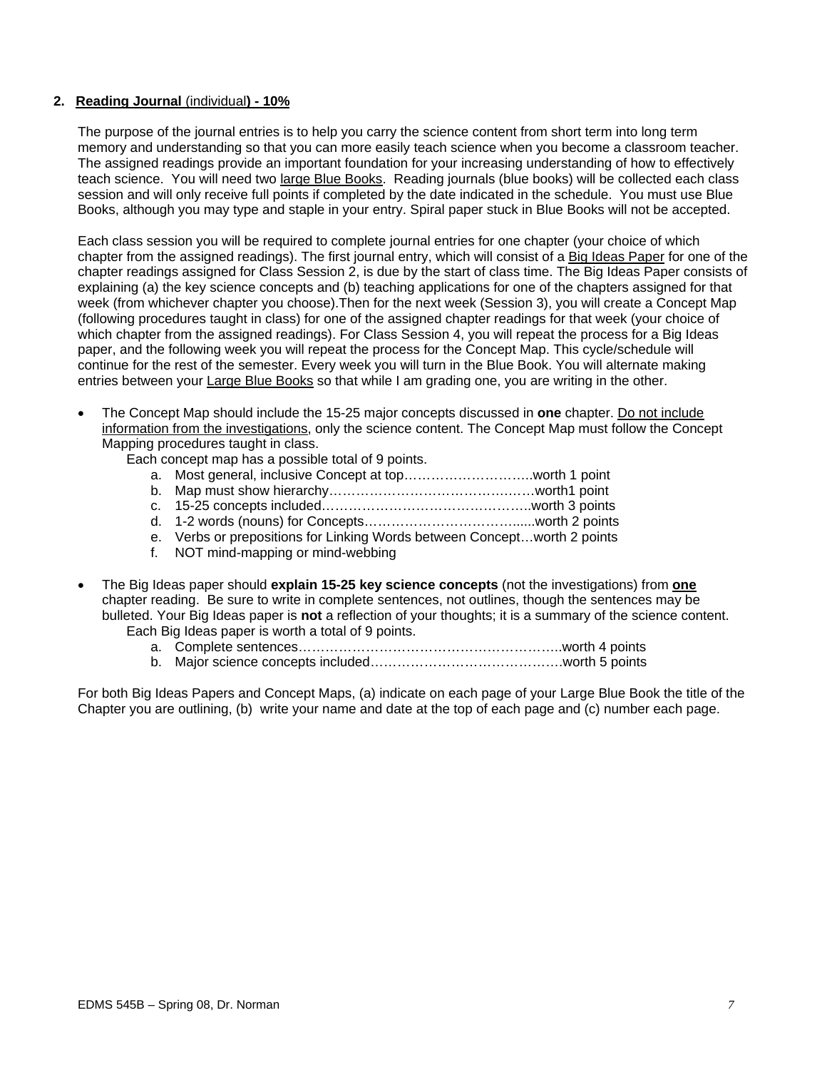### **2. Reading Journal** (individual**) - 10%**

The purpose of the journal entries is to help you carry the science content from short term into long term memory and understanding so that you can more easily teach science when you become a classroom teacher. The assigned readings provide an important foundation for your increasing understanding of how to effectively teach science. You will need two large Blue Books. Reading journals (blue books) will be collected each class session and will only receive full points if completed by the date indicated in the schedule. You must use Blue Books, although you may type and staple in your entry. Spiral paper stuck in Blue Books will not be accepted.

Each class session you will be required to complete journal entries for one chapter (your choice of which chapter from the assigned readings). The first journal entry, which will consist of a Big Ideas Paper for one of the chapter readings assigned for Class Session 2, is due by the start of class time. The Big Ideas Paper consists of explaining (a) the key science concepts and (b) teaching applications for one of the chapters assigned for that week (from whichever chapter you choose).Then for the next week (Session 3), you will create a Concept Map (following procedures taught in class) for one of the assigned chapter readings for that week (your choice of which chapter from the assigned readings). For Class Session 4, you will repeat the process for a Big Ideas paper, and the following week you will repeat the process for the Concept Map. This cycle/schedule will continue for the rest of the semester. Every week you will turn in the Blue Book. You will alternate making entries between your Large Blue Books so that while I am grading one, you are writing in the other.

• The Concept Map should include the 15-25 major concepts discussed in **one** chapter. Do not include information from the investigations, only the science content. The Concept Map must follow the Concept Mapping procedures taught in class.

Each concept map has a possible total of 9 points.

- a. Most general, inclusive Concept at top………………………..worth 1 point
- b. Map must show hierarchy………………………………….……worth1 point
- c. 15-25 concepts included………………………………………..worth 3 points
- d. 1-2 words (nouns) for Concepts……………………………......worth 2 points
- e. Verbs or prepositions for Linking Words between Concept…worth 2 points
- f. NOT mind-mapping or mind-webbing
- The Big Ideas paper should **explain 15-25 key science concepts** (not the investigations) from **one**  chapter reading. Be sure to write in complete sentences, not outlines, though the sentences may be bulleted. Your Big Ideas paper is **not** a reflection of your thoughts; it is a summary of the science content. Each Big Ideas paper is worth a total of 9 points.
	- a. Complete sentences…………………………………………………..worth 4 points
	- b. Major science concepts included…………………………………….worth 5 points

For both Big Ideas Papers and Concept Maps, (a) indicate on each page of your Large Blue Book the title of the Chapter you are outlining, (b) write your name and date at the top of each page and (c) number each page.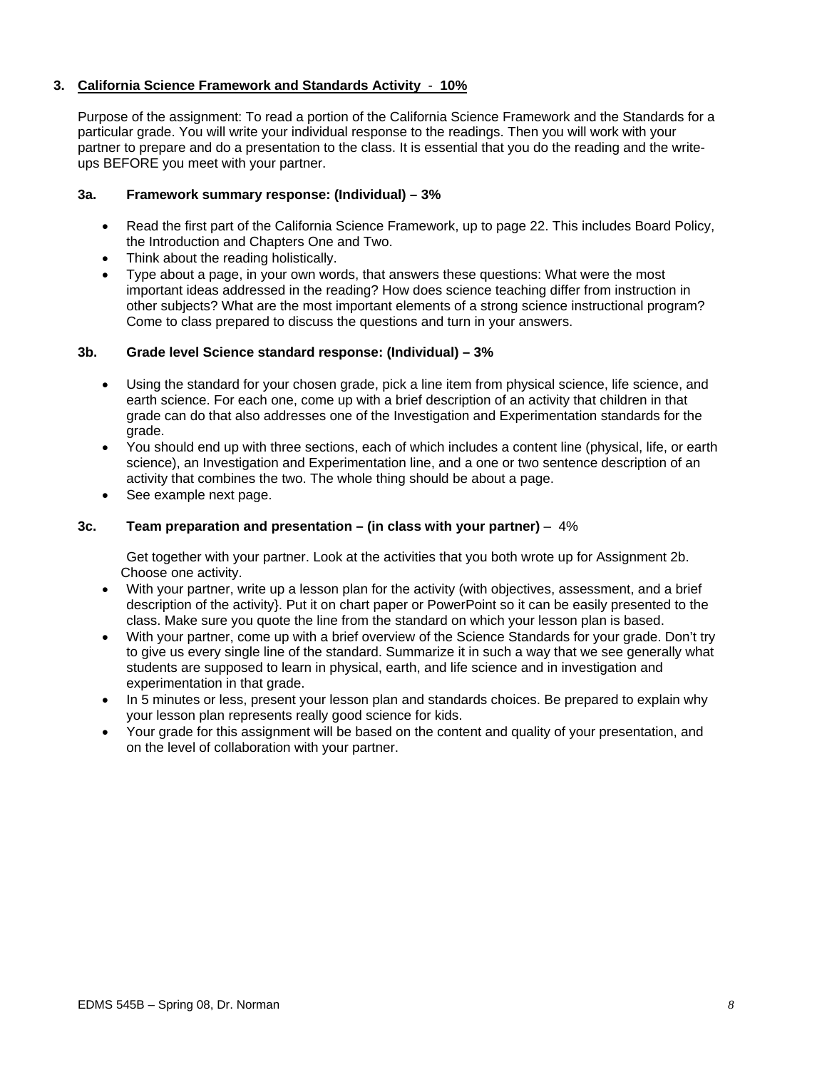### **3. California Science Framework and Standards Activity** - **10%**

Purpose of the assignment: To read a portion of the California Science Framework and the Standards for a particular grade. You will write your individual response to the readings. Then you will work with your partner to prepare and do a presentation to the class. It is essential that you do the reading and the writeups BEFORE you meet with your partner.

### **3a. Framework summary response: (Individual) – 3%**

- Read the first part of the California Science Framework, up to page 22. This includes Board Policy, the Introduction and Chapters One and Two.
- Think about the reading holistically.
- Type about a page, in your own words, that answers these questions: What were the most important ideas addressed in the reading? How does science teaching differ from instruction in other subjects? What are the most important elements of a strong science instructional program? Come to class prepared to discuss the questions and turn in your answers.

### **3b. Grade level Science standard response: (Individual) – 3%**

- Using the standard for your chosen grade, pick a line item from physical science, life science, and earth science. For each one, come up with a brief description of an activity that children in that grade can do that also addresses one of the Investigation and Experimentation standards for the grade.
- You should end up with three sections, each of which includes a content line (physical, life, or earth science), an Investigation and Experimentation line, and a one or two sentence description of an activity that combines the two. The whole thing should be about a page.
- See example next page.

### **3c. Team preparation and presentation – (in class with your partner)** – 4%

Get together with your partner. Look at the activities that you both wrote up for Assignment 2b. Choose one activity.

- With your partner, write up a lesson plan for the activity (with objectives, assessment, and a brief description of the activity}. Put it on chart paper or PowerPoint so it can be easily presented to the class. Make sure you quote the line from the standard on which your lesson plan is based.
- With your partner, come up with a brief overview of the Science Standards for your grade. Don't try to give us every single line of the standard. Summarize it in such a way that we see generally what students are supposed to learn in physical, earth, and life science and in investigation and experimentation in that grade.
- In 5 minutes or less, present your lesson plan and standards choices. Be prepared to explain why your lesson plan represents really good science for kids.
- Your grade for this assignment will be based on the content and quality of your presentation, and on the level of collaboration with your partner.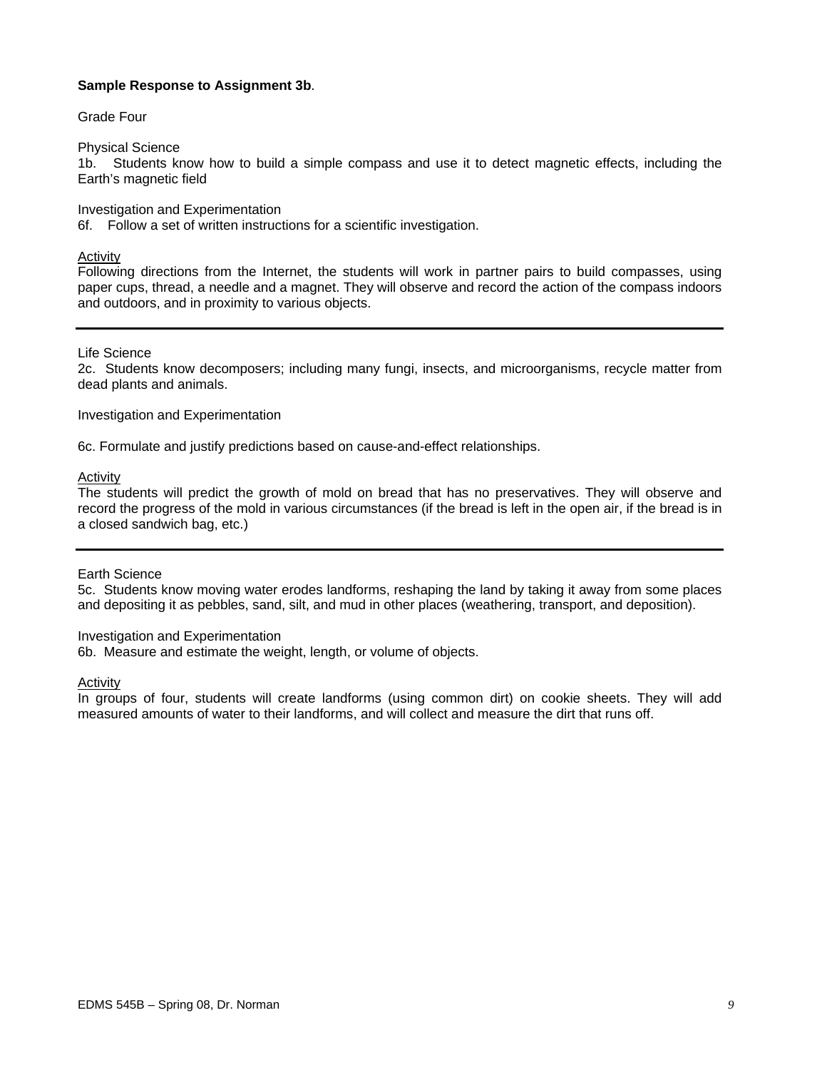#### **Sample Response to Assignment 3b**.

#### Grade Four

#### Physical Science

1b. Students know how to build a simple compass and use it to detect magnetic effects, including the Earth's magnetic field

Investigation and Experimentation

6f. Follow a set of written instructions for a scientific investigation.

#### Activity

Following directions from the Internet, the students will work in partner pairs to build compasses, using paper cups, thread, a needle and a magnet. They will observe and record the action of the compass indoors and outdoors, and in proximity to various objects.

### Life Science

2c. Students know decomposers; including many fungi, insects, and microorganisms, recycle matter from dead plants and animals.

#### Investigation and Experimentation

6c. Formulate and justify predictions based on cause-and-effect relationships.

### **Activity**

The students will predict the growth of mold on bread that has no preservatives. They will observe and record the progress of the mold in various circumstances (if the bread is left in the open air, if the bread is in a closed sandwich bag, etc.)

#### Earth Science

5c. Students know moving water erodes landforms, reshaping the land by taking it away from some places and depositing it as pebbles, sand, silt, and mud in other places (weathering, transport, and deposition).

#### Investigation and Experimentation

6b. Measure and estimate the weight, length, or volume of objects.

#### Activity

In groups of four, students will create landforms (using common dirt) on cookie sheets. They will add measured amounts of water to their landforms, and will collect and measure the dirt that runs off.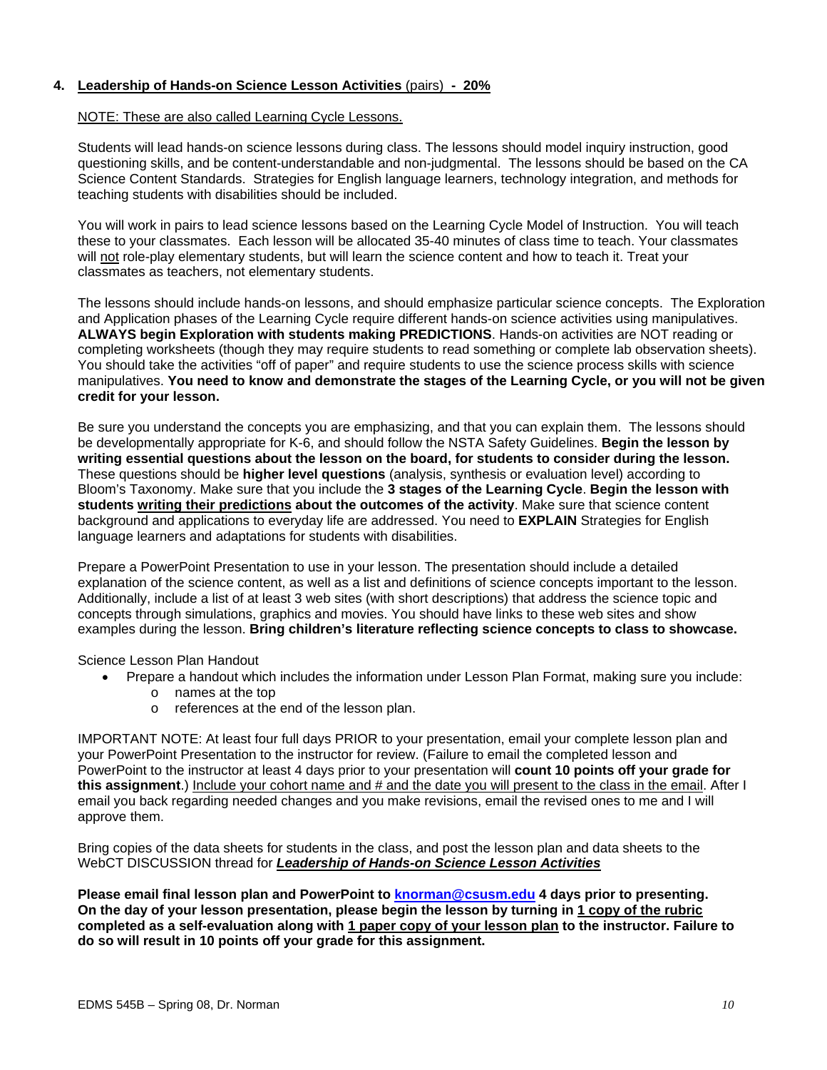### **4. Leadership of Hands-on Science Lesson Activities** (pairs) **- 20%**

#### NOTE: These are also called Learning Cycle Lessons.

Students will lead hands-on science lessons during class. The lessons should model inquiry instruction, good questioning skills, and be content-understandable and non-judgmental. The lessons should be based on the CA Science Content Standards. Strategies for English language learners, technology integration, and methods for teaching students with disabilities should be included.

You will work in pairs to lead science lessons based on the Learning Cycle Model of Instruction. You will teach these to your classmates. Each lesson will be allocated 35-40 minutes of class time to teach. Your classmates will not role-play elementary students, but will learn the science content and how to teach it. Treat your classmates as teachers, not elementary students.

The lessons should include hands-on lessons, and should emphasize particular science concepts. The Exploration and Application phases of the Learning Cycle require different hands-on science activities using manipulatives. **ALWAYS begin Exploration with students making PREDICTIONS**. Hands-on activities are NOT reading or completing worksheets (though they may require students to read something or complete lab observation sheets). You should take the activities "off of paper" and require students to use the science process skills with science manipulatives. **You need to know and demonstrate the stages of the Learning Cycle, or you will not be given credit for your lesson.**

Be sure you understand the concepts you are emphasizing, and that you can explain them. The lessons should be developmentally appropriate for K-6, and should follow the NSTA Safety Guidelines. **Begin the lesson by writing essential questions about the lesson on the board, for students to consider during the lesson.**  These questions should be **higher level questions** (analysis, synthesis or evaluation level) according to Bloom's Taxonomy. Make sure that you include the **3 stages of the Learning Cycle**. **Begin the lesson with students writing their predictions about the outcomes of the activity**. Make sure that science content background and applications to everyday life are addressed. You need to **EXPLAIN** Strategies for English language learners and adaptations for students with disabilities.

Prepare a PowerPoint Presentation to use in your lesson. The presentation should include a detailed explanation of the science content, as well as a list and definitions of science concepts important to the lesson. Additionally, include a list of at least 3 web sites (with short descriptions) that address the science topic and concepts through simulations, graphics and movies. You should have links to these web sites and show examples during the lesson. **Bring children's literature reflecting science concepts to class to showcase.**

Science Lesson Plan Handout

- Prepare a handout which includes the information under Lesson Plan Format, making sure you include:
	- o names at the top
	- o references at the end of the lesson plan.

IMPORTANT NOTE: At least four full days PRIOR to your presentation, email your complete lesson plan and your PowerPoint Presentation to the instructor for review. (Failure to email the completed lesson and PowerPoint to the instructor at least 4 days prior to your presentation will **count 10 points off your grade for this assignment**.) Include your cohort name and # and the date you will present to the class in the email. After I email you back regarding needed changes and you make revisions, email the revised ones to me and I will approve them.

Bring copies of the data sheets for students in the class, and post the lesson plan and data sheets to the WebCT DISCUSSION thread for *Leadership of Hands-on Science Lesson Activities*

**Please email final lesson plan and PowerPoint to knorman@csusm.edu 4 days prior to presenting. On the day of your lesson presentation, please begin the lesson by turning in 1 copy of the rubric completed as a self-evaluation along with 1 paper copy of your lesson plan to the instructor. Failure to do so will result in 10 points off your grade for this assignment.**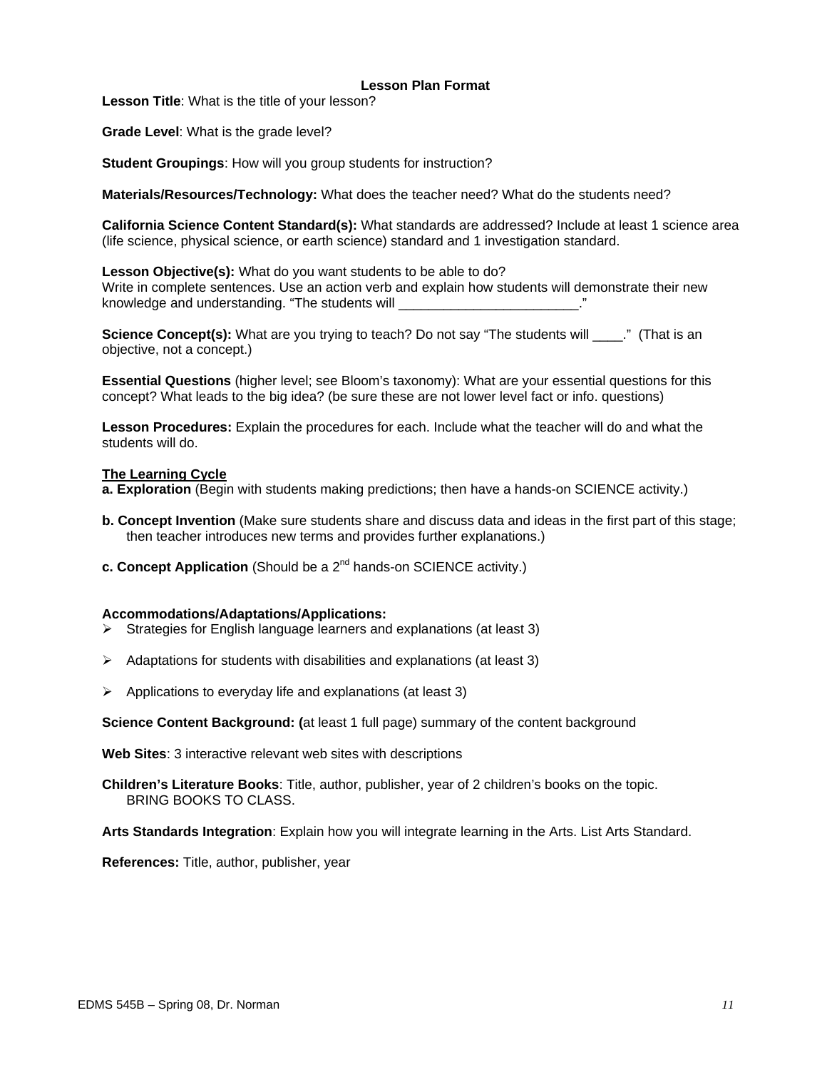#### **Lesson Plan Format**

**Lesson Title**: What is the title of your lesson?

**Grade Level**: What is the grade level?

**Student Groupings**: How will you group students for instruction?

**Materials/Resources/Technology:** What does the teacher need? What do the students need?

**California Science Content Standard(s):** What standards are addressed? Include at least 1 science area (life science, physical science, or earth science) standard and 1 investigation standard.

**Lesson Objective(s):** What do you want students to be able to do? Write in complete sentences. Use an action verb and explain how students will demonstrate their new knowledge and understanding. "The students will

**Science Concept(s):** What are you trying to teach? Do not say "The students will \_\_\_\_." (That is an objective, not a concept.)

**Essential Questions** (higher level; see Bloom's taxonomy): What are your essential questions for this concept? What leads to the big idea? (be sure these are not lower level fact or info. questions)

**Lesson Procedures:** Explain the procedures for each. Include what the teacher will do and what the students will do.

#### **The Learning Cycle**

**a. Exploration** (Begin with students making predictions; then have a hands-on SCIENCE activity.)

- **b. Concept Invention** (Make sure students share and discuss data and ideas in the first part of this stage; then teacher introduces new terms and provides further explanations.)
- **c. Concept Application** (Should be a 2<sup>nd</sup> hands-on SCIENCE activity.)

#### **Accommodations/Adaptations/Applications:**

- $\triangleright$  Strategies for English language learners and explanations (at least 3)
- $\triangleright$  Adaptations for students with disabilities and explanations (at least 3)
- $\triangleright$  Applications to everyday life and explanations (at least 3)

**Science Content Background: (**at least 1 full page) summary of the content background

**Web Sites**: 3 interactive relevant web sites with descriptions

**Children's Literature Books**: Title, author, publisher, year of 2 children's books on the topic. BRING BOOKS TO CLASS.

**Arts Standards Integration**: Explain how you will integrate learning in the Arts. List Arts Standard.

**References:** Title, author, publisher, year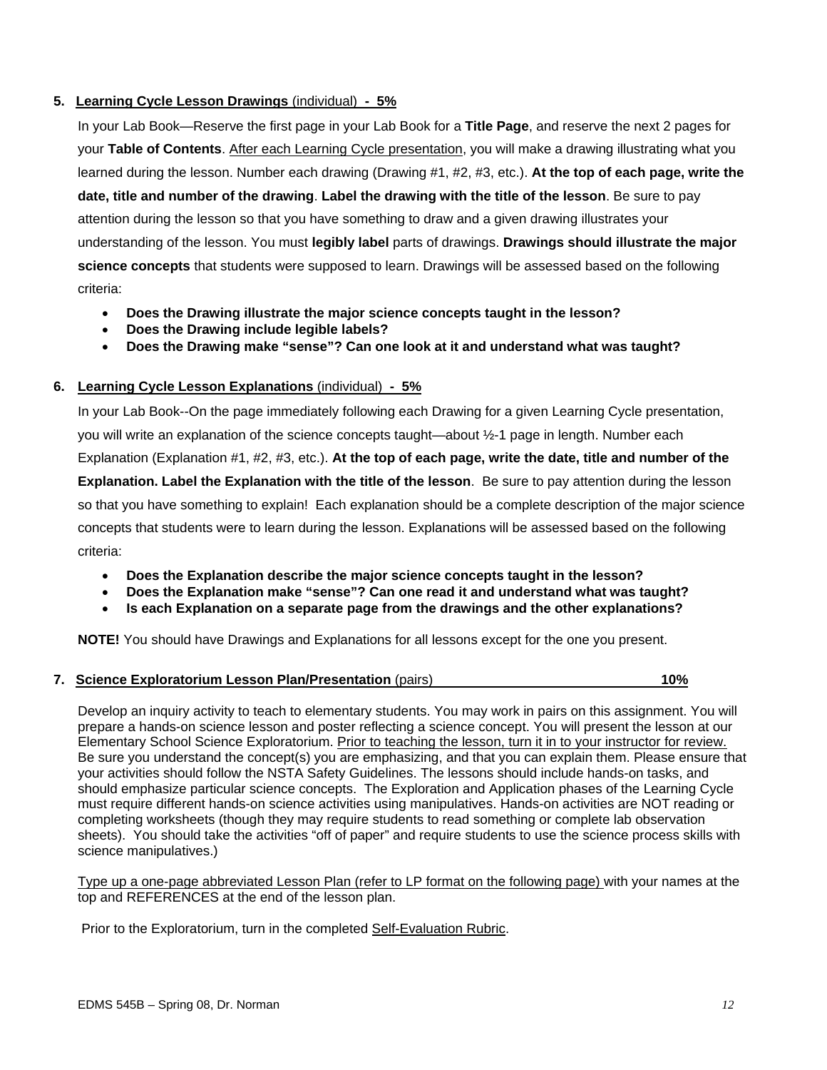### **5. Learning Cycle Lesson Drawings** (individual) **- 5%**

In your Lab Book—Reserve the first page in your Lab Book for a **Title Page**, and reserve the next 2 pages for your **Table of Contents**. After each Learning Cycle presentation, you will make a drawing illustrating what you learned during the lesson. Number each drawing (Drawing #1, #2, #3, etc.). **At the top of each page, write the date, title and number of the drawing**. **Label the drawing with the title of the lesson**. Be sure to pay attention during the lesson so that you have something to draw and a given drawing illustrates your understanding of the lesson. You must **legibly label** parts of drawings. **Drawings should illustrate the major science concepts** that students were supposed to learn. Drawings will be assessed based on the following criteria:

- **Does the Drawing illustrate the major science concepts taught in the lesson?**
- **Does the Drawing include legible labels?**
- **Does the Drawing make "sense"? Can one look at it and understand what was taught?**

### **6. Learning Cycle Lesson Explanations** (individual) **- 5%**

In your Lab Book--On the page immediately following each Drawing for a given Learning Cycle presentation, you will write an explanation of the science concepts taught—about ½-1 page in length. Number each Explanation (Explanation #1, #2, #3, etc.). **At the top of each page, write the date, title and number of the Explanation. Label the Explanation with the title of the lesson**. Be sure to pay attention during the lesson so that you have something to explain! Each explanation should be a complete description of the major science concepts that students were to learn during the lesson. Explanations will be assessed based on the following criteria:

- **Does the Explanation describe the major science concepts taught in the lesson?**
- **Does the Explanation make "sense"? Can one read it and understand what was taught?**
- **Is each Explanation on a separate page from the drawings and the other explanations?**

**NOTE!** You should have Drawings and Explanations for all lessons except for the one you present.

#### **7. Science Exploratorium Lesson Plan/Presentation** (pairs) **10%**

Develop an inquiry activity to teach to elementary students. You may work in pairs on this assignment. You will prepare a hands-on science lesson and poster reflecting a science concept. You will present the lesson at our Elementary School Science Exploratorium. Prior to teaching the lesson, turn it in to your instructor for review. Be sure you understand the concept(s) you are emphasizing, and that you can explain them. Please ensure that your activities should follow the NSTA Safety Guidelines. The lessons should include hands-on tasks, and should emphasize particular science concepts. The Exploration and Application phases of the Learning Cycle must require different hands-on science activities using manipulatives. Hands-on activities are NOT reading or completing worksheets (though they may require students to read something or complete lab observation sheets). You should take the activities "off of paper" and require students to use the science process skills with science manipulatives.)

Type up a one-page abbreviated Lesson Plan (refer to LP format on the following page) with your names at the top and REFERENCES at the end of the lesson plan.

Prior to the Exploratorium, turn in the completed Self-Evaluation Rubric.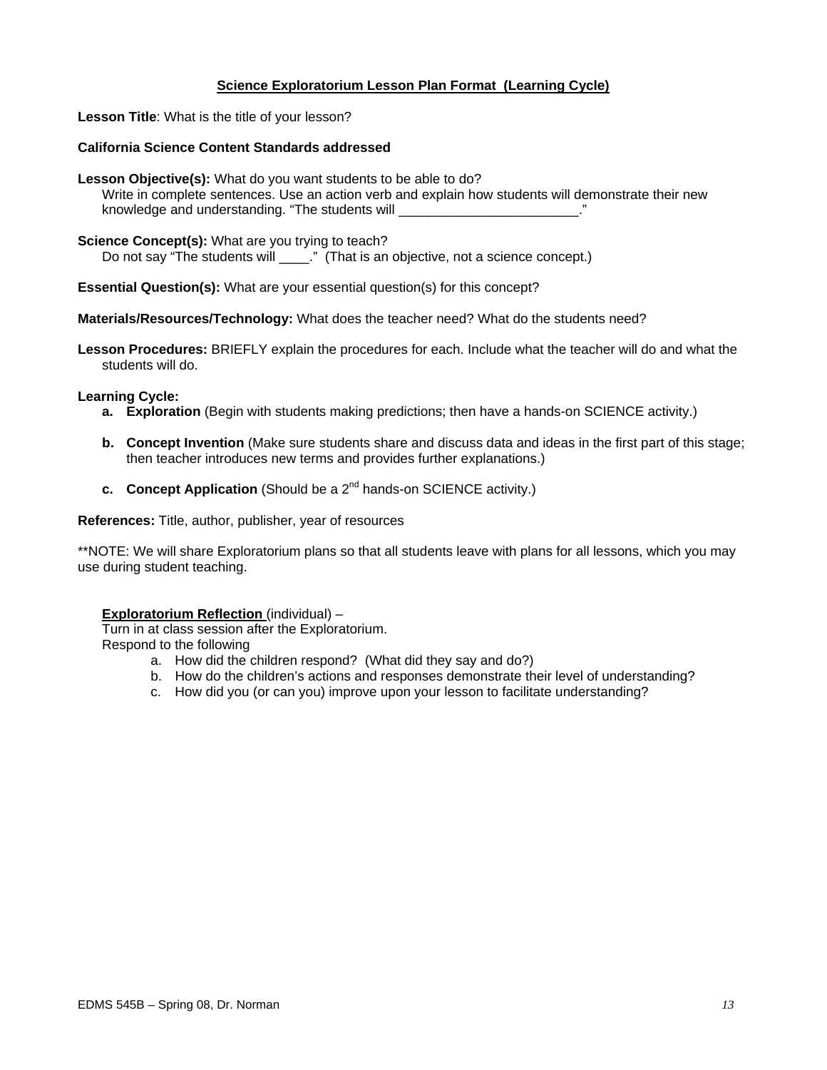### **Science Exploratorium Lesson Plan Format (Learning Cycle)**

**Lesson Title**: What is the title of your lesson?

#### **California Science Content Standards addressed**

**Lesson Objective(s):** What do you want students to be able to do? Write in complete sentences. Use an action verb and explain how students will demonstrate their new knowledge and understanding. "The students will example and understanding."

#### **Science Concept(s):** What are you trying to teach?

Do not say "The students will \_\_\_\_." (That is an objective, not a science concept.)

**Essential Question(s):** What are your essential question(s) for this concept?

**Materials/Resources/Technology:** What does the teacher need? What do the students need?

**Lesson Procedures:** BRIEFLY explain the procedures for each. Include what the teacher will do and what the students will do.

#### **Learning Cycle:**

- **a. Exploration** (Begin with students making predictions; then have a hands-on SCIENCE activity.)
- **b. Concept Invention** (Make sure students share and discuss data and ideas in the first part of this stage; then teacher introduces new terms and provides further explanations.)
- **c.** Concept Application (Should be a 2<sup>nd</sup> hands-on SCIENCE activity.)

**References:** Title, author, publisher, year of resources

\*\*NOTE: We will share Exploratorium plans so that all students leave with plans for all lessons, which you may use during student teaching.

#### **Exploratorium Reflection** (individual) –

Turn in at class session after the Exploratorium. Respond to the following

- a. How did the children respond? (What did they say and do?)
- b. How do the children's actions and responses demonstrate their level of understanding?
- c. How did you (or can you) improve upon your lesson to facilitate understanding?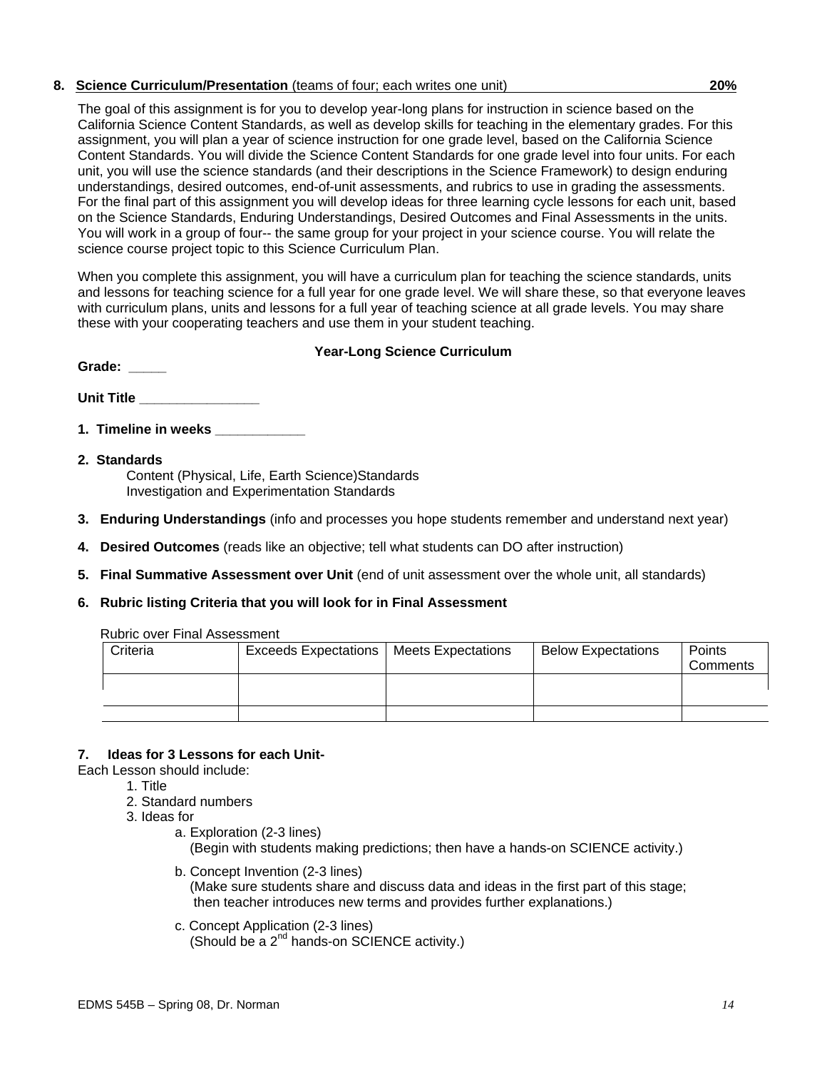### **8. Science Curriculum/Presentation** (teams of four; each writes one unit) **20%**

The goal of this assignment is for you to develop year-long plans for instruction in science based on the California Science Content Standards, as well as develop skills for teaching in the elementary grades. For this assignment, you will plan a year of science instruction for one grade level, based on the California Science Content Standards. You will divide the Science Content Standards for one grade level into four units. For each unit, you will use the science standards (and their descriptions in the Science Framework) to design enduring understandings, desired outcomes, end-of-unit assessments, and rubrics to use in grading the assessments. For the final part of this assignment you will develop ideas for three learning cycle lessons for each unit, based on the Science Standards, Enduring Understandings, Desired Outcomes and Final Assessments in the units. You will work in a group of four-- the same group for your project in your science course. You will relate the science course project topic to this Science Curriculum Plan.

When you complete this assignment, you will have a curriculum plan for teaching the science standards, units and lessons for teaching science for a full year for one grade level. We will share these, so that everyone leaves with curriculum plans, units and lessons for a full year of teaching science at all grade levels. You may share these with your cooperating teachers and use them in your student teaching.

### **Year-Long Science Curriculum**

| <b>Unit Title</b> |  |  |
|-------------------|--|--|

**1. Timeline in weeks** 

Grade:

- **2. Standards**  Content (Physical, Life, Earth Science)Standards Investigation and Experimentation Standards
- **3. Enduring Understandings** (info and processes you hope students remember and understand next year)
- **4. Desired Outcomes** (reads like an objective; tell what students can DO after instruction)
- **5. Final Summative Assessment over Unit** (end of unit assessment over the whole unit, all standards)
- **6. Rubric listing Criteria that you will look for in Final Assessment**

|  | <b>Rubric over Final Assessment</b> |
|--|-------------------------------------|
|  |                                     |

| Criteria | <b>Exceeds Expectations</b> | Meets Expectations | <b>Below Expectations</b> | Points<br>Comments |
|----------|-----------------------------|--------------------|---------------------------|--------------------|
|          |                             |                    |                           |                    |
|          |                             |                    |                           |                    |

### **7. Ideas for 3 Lessons for each Unit-**

- Each Lesson should include:
	- 1. Title
	- 2. Standard numbers
	- 3. Ideas for
		- a. Exploration (2-3 lines) (Begin with students making predictions; then have a hands-on SCIENCE activity.)
		- b. Concept Invention (2-3 lines) (Make sure students share and discuss data and ideas in the first part of this stage; then teacher introduces new terms and provides further explanations.)
		- c. Concept Application (2-3 lines) (Should be a 2<sup>nd</sup> hands-on SCIENCE activity.)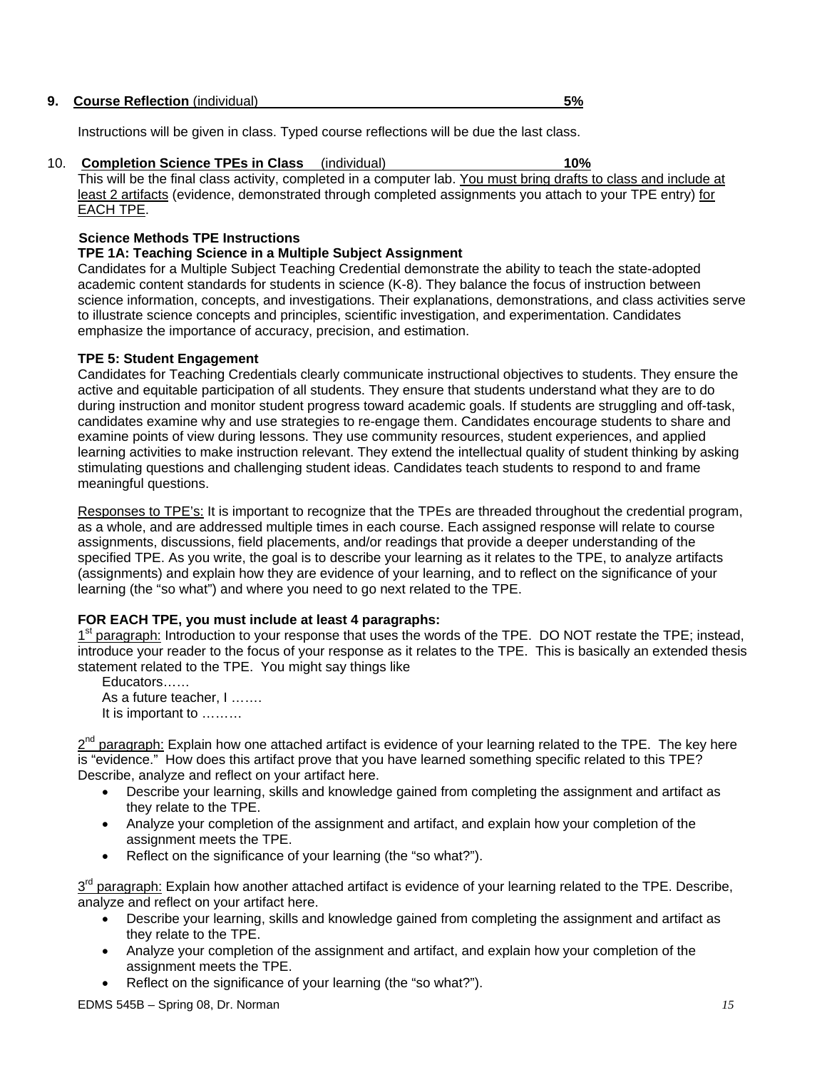| 9. Course Reflection (individual) |  |
|-----------------------------------|--|
|-----------------------------------|--|

Instructions will be given in class. Typed course reflections will be due the last class.

# 10. **Completion Science TPEs in Class** (individual) **10%**

This will be the final class activity, completed in a computer lab. You must bring drafts to class and include at least 2 artifacts (evidence, demonstrated through completed assignments you attach to your TPE entry) for EACH TPE.

### **Science Methods TPE Instructions**

#### **TPE 1A: Teaching Science in a Multiple Subject Assignment**

Candidates for a Multiple Subject Teaching Credential demonstrate the ability to teach the state-adopted academic content standards for students in science (K-8). They balance the focus of instruction between science information, concepts, and investigations. Their explanations, demonstrations, and class activities serve to illustrate science concepts and principles, scientific investigation, and experimentation. Candidates emphasize the importance of accuracy, precision, and estimation.

### **TPE 5: Student Engagement**

Candidates for Teaching Credentials clearly communicate instructional objectives to students. They ensure the active and equitable participation of all students. They ensure that students understand what they are to do during instruction and monitor student progress toward academic goals. If students are struggling and off-task, candidates examine why and use strategies to re-engage them. Candidates encourage students to share and examine points of view during lessons. They use community resources, student experiences, and applied learning activities to make instruction relevant. They extend the intellectual quality of student thinking by asking stimulating questions and challenging student ideas. Candidates teach students to respond to and frame meaningful questions.

Responses to TPE's: It is important to recognize that the TPEs are threaded throughout the credential program, as a whole, and are addressed multiple times in each course. Each assigned response will relate to course assignments, discussions, field placements, and/or readings that provide a deeper understanding of the specified TPE. As you write, the goal is to describe your learning as it relates to the TPE, to analyze artifacts (assignments) and explain how they are evidence of your learning, and to reflect on the significance of your learning (the "so what") and where you need to go next related to the TPE.

### **FOR EACH TPE, you must include at least 4 paragraphs:**

1<sup>st</sup> paragraph: Introduction to your response that uses the words of the TPE. DO NOT restate the TPE; instead, introduce your reader to the focus of your response as it relates to the TPE. This is basically an extended thesis statement related to the TPE. You might say things like

Educators…… As a future teacher, I ……. It is important to ………

 $2<sup>nd</sup>$  paragraph: Explain how one attached artifact is evidence of your learning related to the TPE. The key here is "evidence." How does this artifact prove that you have learned something specific related to this TPE? Describe, analyze and reflect on your artifact here.

- Describe your learning, skills and knowledge gained from completing the assignment and artifact as they relate to the TPE.
- Analyze your completion of the assignment and artifact, and explain how your completion of the assignment meets the TPE.
- Reflect on the significance of your learning (the "so what?").

3<sup>rd</sup> paragraph: Explain how another attached artifact is evidence of your learning related to the TPE. Describe, analyze and reflect on your artifact here.

- Describe your learning, skills and knowledge gained from completing the assignment and artifact as they relate to the TPE.
- Analyze your completion of the assignment and artifact, and explain how your completion of the assignment meets the TPE.
- Reflect on the significance of your learning (the "so what?").

EDMS 545B – Spring 08, Dr. Norman *15*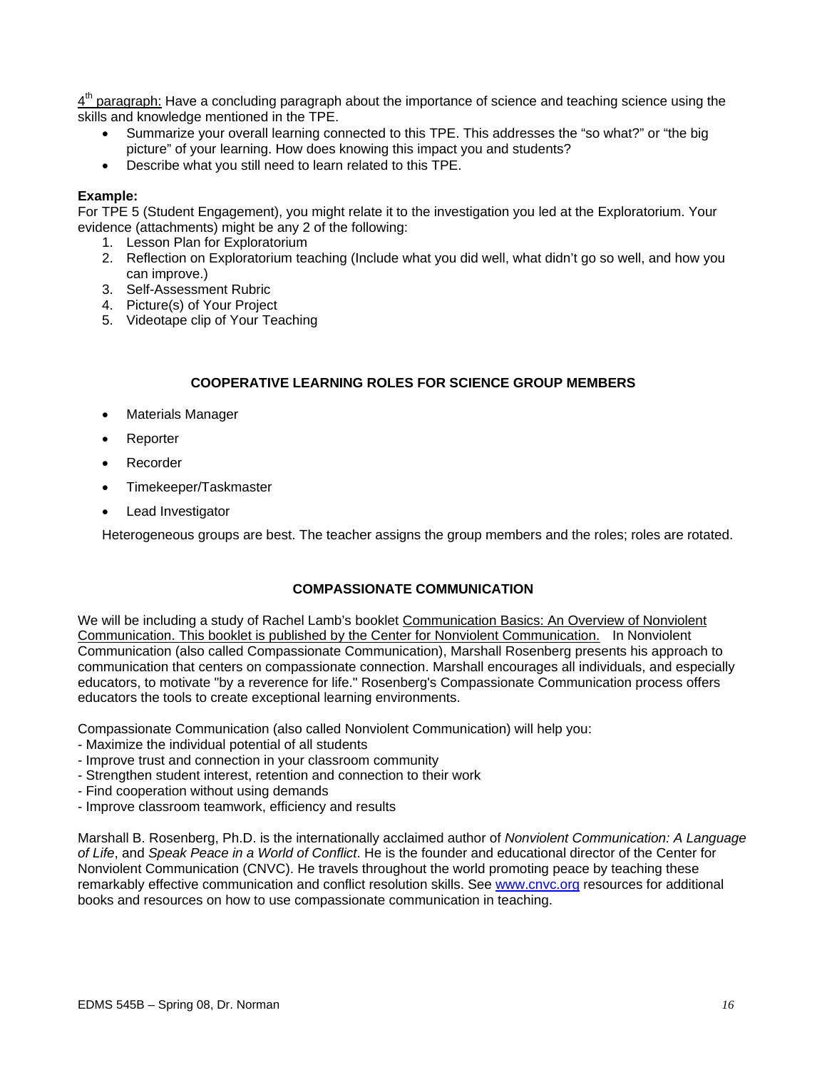$4<sup>th</sup>$  paragraph: Have a concluding paragraph about the importance of science and teaching science using the skills and knowledge mentioned in the TPE.

- Summarize your overall learning connected to this TPE. This addresses the "so what?" or "the big picture" of your learning. How does knowing this impact you and students?
- Describe what you still need to learn related to this TPE.

#### **Example:**

For TPE 5 (Student Engagement), you might relate it to the investigation you led at the Exploratorium. Your evidence (attachments) might be any 2 of the following:

- 1. Lesson Plan for Exploratorium
- 2. Reflection on Exploratorium teaching (Include what you did well, what didn't go so well, and how you can improve.)
- 3. Self-Assessment Rubric
- 4. Picture(s) of Your Project
- 5. Videotape clip of Your Teaching

### **COOPERATIVE LEARNING ROLES FOR SCIENCE GROUP MEMBERS**

- **Materials Manager**
- Reporter
- Recorder
- Timekeeper/Taskmaster
- Lead Investigator

Heterogeneous groups are best. The teacher assigns the group members and the roles; roles are rotated.

#### **COMPASSIONATE COMMUNICATION**

We will be including a study of Rachel Lamb's booklet Communication Basics: An Overview of Nonviolent Communication. This booklet is published by the Center for Nonviolent Communication. In Nonviolent Communication (also called Compassionate Communication), Marshall Rosenberg presents his approach to communication that centers on compassionate connection. Marshall encourages all individuals, and especially educators, to motivate "by a reverence for life." Rosenberg's Compassionate Communication process offers educators the tools to create exceptional learning environments.

Compassionate Communication (also called Nonviolent Communication) will help you:

- Maximize the individual potential of all students
- Improve trust and connection in your classroom community
- Strengthen student interest, retention and connection to their work
- Find cooperation without using demands
- Improve classroom teamwork, efficiency and results

Marshall B. Rosenberg, Ph.D. is the internationally acclaimed author of *Nonviolent Communication: A Language of Life*, and *Speak Peace in a World of Conflict*. He is the founder and educational director of the Center for Nonviolent Communication (CNVC). He travels throughout the world promoting peace by teaching these remarkably effective communication and conflict resolution skills. See www.cnvc.org resources for additional books and resources on how to use compassionate communication in teaching.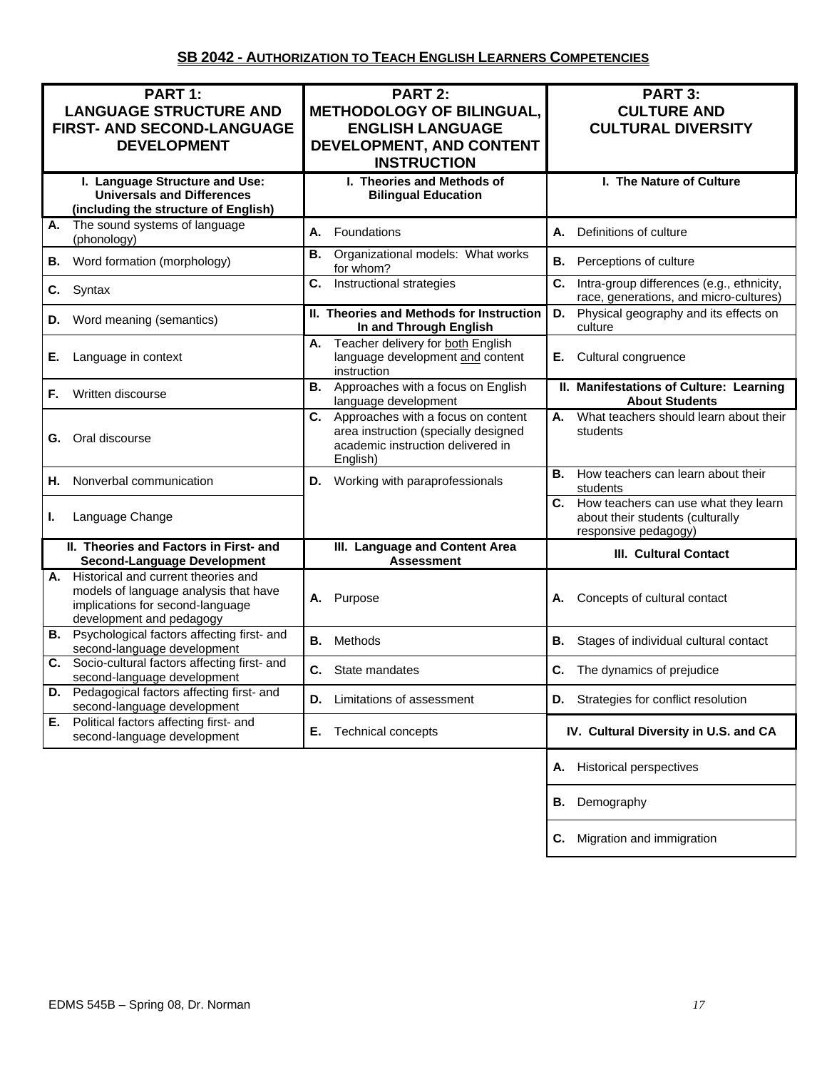| PART 1:<br><b>LANGUAGE STRUCTURE AND</b><br>FIRST- AND SECOND-LANGUAGE<br><b>DEVELOPMENT</b>                                                    | <b>PART 2:</b><br><b>METHODOLOGY OF BILINGUAL,</b><br><b>ENGLISH LANGUAGE</b><br>DEVELOPMENT, AND CONTENT<br><b>INSTRUCTION</b>   | PART 3:<br><b>CULTURE AND</b><br><b>CULTURAL DIVERSITY</b>                                          |  |
|-------------------------------------------------------------------------------------------------------------------------------------------------|-----------------------------------------------------------------------------------------------------------------------------------|-----------------------------------------------------------------------------------------------------|--|
| I. Language Structure and Use:<br><b>Universals and Differences</b><br>(including the structure of English)                                     | I. Theories and Methods of<br><b>Bilingual Education</b>                                                                          | I. The Nature of Culture                                                                            |  |
| The sound systems of language<br>А.<br>(phonology)                                                                                              | А.<br>Foundations                                                                                                                 | Definitions of culture<br>А.                                                                        |  |
| Word formation (morphology)<br>В.                                                                                                               | Organizational models: What works<br>В.<br>for whom?                                                                              | В.<br>Perceptions of culture                                                                        |  |
| C.<br>Syntax                                                                                                                                    | Instructional strategies<br>C.                                                                                                    | C.<br>Intra-group differences (e.g., ethnicity,<br>race, generations, and micro-cultures)           |  |
| Word meaning (semantics)<br>D.                                                                                                                  | II. Theories and Methods for Instruction<br>In and Through English                                                                | Physical geography and its effects on<br>D.<br>culture                                              |  |
| Е.<br>Language in context                                                                                                                       | Teacher delivery for both English<br>А.<br>language development and content<br>instruction                                        | Cultural congruence<br>Е.                                                                           |  |
| Written discourse<br>F.                                                                                                                         | Approaches with a focus on English<br>В.<br>language development                                                                  | II. Manifestations of Culture: Learning<br><b>About Students</b>                                    |  |
| Oral discourse<br>G.                                                                                                                            | Approaches with a focus on content<br>C.<br>area instruction (specially designed<br>academic instruction delivered in<br>English) | What teachers should learn about their<br>А.<br>students                                            |  |
| Nonverbal communication<br>Н.                                                                                                                   | Working with paraprofessionals<br>D.                                                                                              | How teachers can learn about their<br>В.<br>students                                                |  |
| Language Change<br>ı.                                                                                                                           |                                                                                                                                   | C. How teachers can use what they learn<br>about their students (culturally<br>responsive pedagogy) |  |
| II. Theories and Factors in First- and<br><b>Second-Language Development</b>                                                                    | III. Language and Content Area<br><b>Assessment</b>                                                                               | <b>III. Cultural Contact</b>                                                                        |  |
| A. Historical and current theories and<br>models of language analysis that have<br>implications for second-language<br>development and pedagogy | Purpose<br>А.                                                                                                                     | Concepts of cultural contact<br>А.                                                                  |  |
| <b>B.</b> Psychological factors affecting first- and<br>second-language development                                                             | Methods<br>В.                                                                                                                     | В.<br>Stages of individual cultural contact                                                         |  |
| Socio-cultural factors affecting first- and<br>C.<br>second-language development                                                                | C. State mandates                                                                                                                 | C.<br>The dynamics of prejudice                                                                     |  |
| D. Pedagogical factors affecting first- and<br>second-language development                                                                      | Limitations of assessment<br>D.                                                                                                   | Strategies for conflict resolution<br>D.                                                            |  |
| E. Political factors affecting first- and<br>second-language development                                                                        | Technical concepts<br>Е.                                                                                                          | IV. Cultural Diversity in U.S. and CA                                                               |  |
|                                                                                                                                                 |                                                                                                                                   | <b>Historical perspectives</b><br>Α.                                                                |  |
|                                                                                                                                                 |                                                                                                                                   | Demography<br>В.                                                                                    |  |
|                                                                                                                                                 |                                                                                                                                   | Migration and immigration<br>С.                                                                     |  |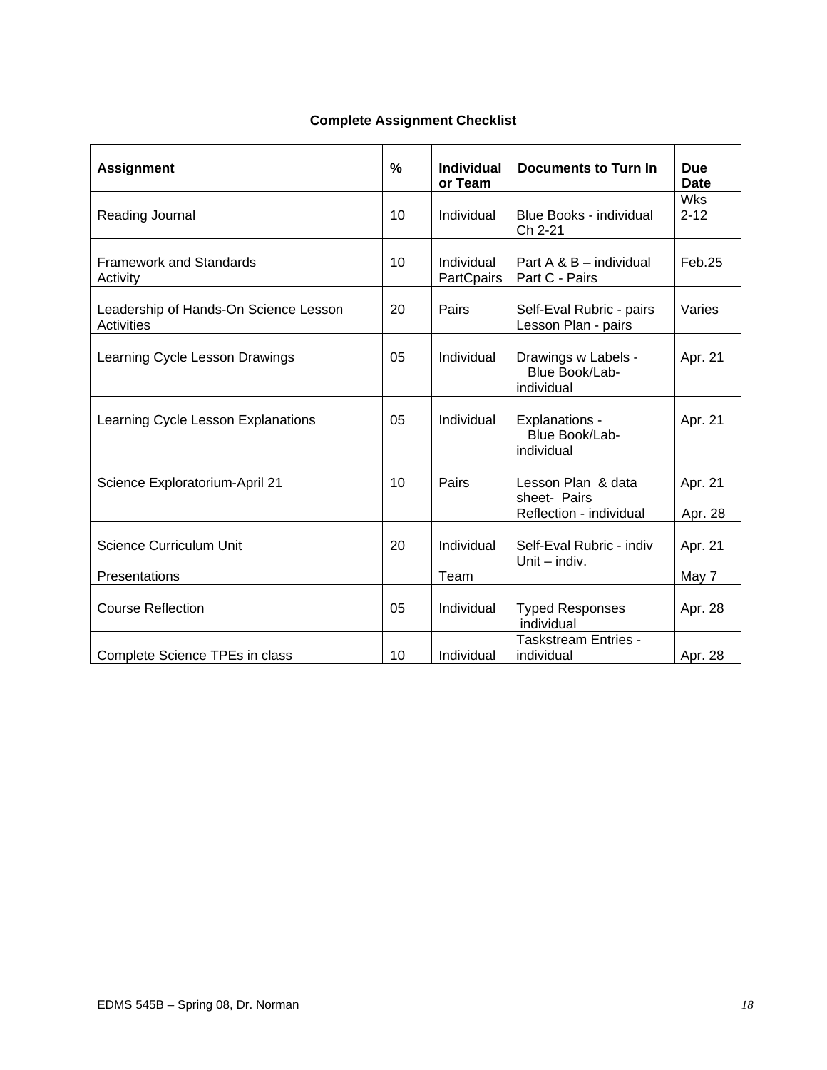### **Complete Assignment Checklist**

| <b>Assignment</b>                                          | $\frac{0}{0}$ | <b>Individual</b><br>or Team | <b>Documents to Turn In</b>                                   | <b>Due</b><br><b>Date</b> |
|------------------------------------------------------------|---------------|------------------------------|---------------------------------------------------------------|---------------------------|
| Reading Journal                                            | 10            | Individual                   | Blue Books - individual<br>Ch 2-21                            | <b>Wks</b><br>$2 - 12$    |
| <b>Framework and Standards</b><br>Activity                 | 10            | Individual<br>PartCpairs     | Part A & B - individual<br>Part C - Pairs                     | Feb.25                    |
| Leadership of Hands-On Science Lesson<br><b>Activities</b> | 20            | Pairs                        | Self-Eval Rubric - pairs<br>Lesson Plan - pairs               | Varies                    |
| Learning Cycle Lesson Drawings                             | 05            | Individual                   | Drawings w Labels -<br>Blue Book/Lab-<br>individual           | Apr. 21                   |
| Learning Cycle Lesson Explanations                         | 05            | Individual                   | Explanations -<br>Blue Book/Lab-<br>individual                | Apr. 21                   |
| Science Exploratorium-April 21                             | 10            | Pairs                        | Lesson Plan & data<br>sheet- Pairs<br>Reflection - individual | Apr. 21<br>Apr. 28        |
| <b>Science Curriculum Unit</b>                             | 20            | Individual                   | Self-Eval Rubric - indiv<br>Unit $-$ indiv.                   | Apr. 21                   |
| Presentations                                              |               | Team                         |                                                               | May 7                     |
| <b>Course Reflection</b>                                   | 05            | Individual                   | <b>Typed Responses</b><br>individual                          | Apr. 28                   |
| Complete Science TPEs in class                             | 10            | Individual                   | <b>Taskstream Entries -</b><br>individual                     | Apr. 28                   |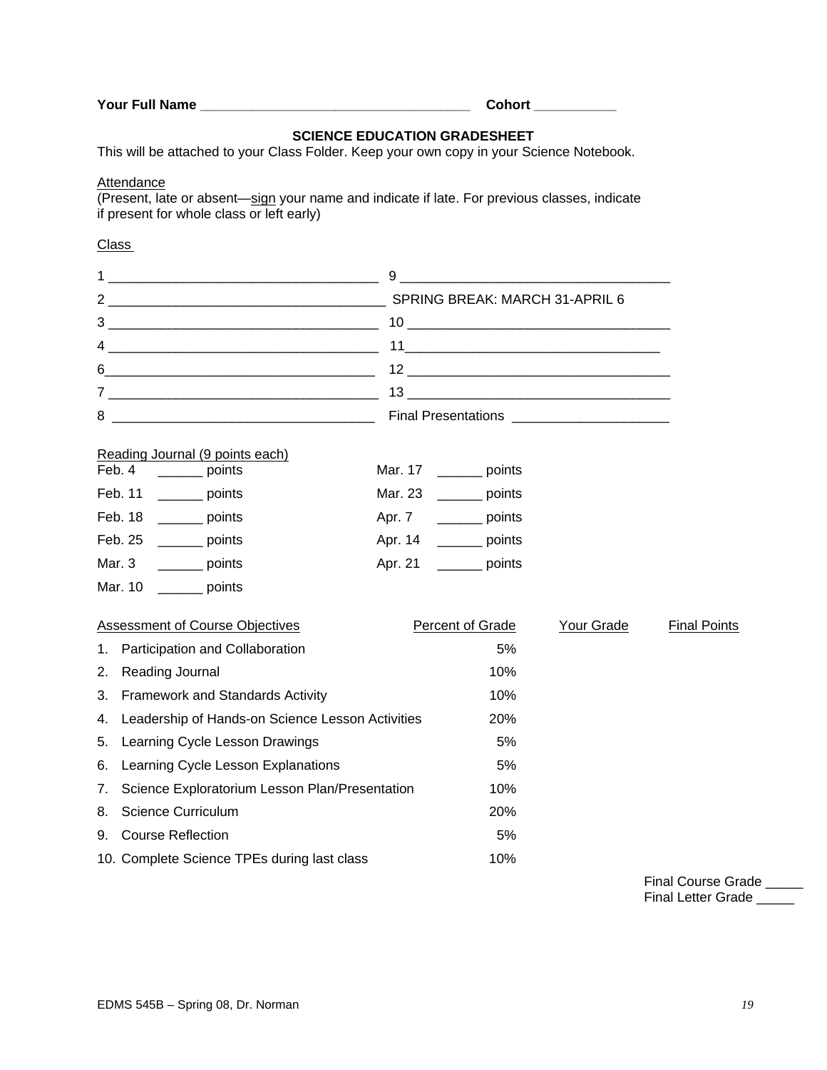|  | Your Full Name |  |
|--|----------------|--|
|  |                |  |

**Your Full Name \_\_\_\_\_\_\_\_\_\_\_\_\_\_\_\_\_\_\_\_\_\_\_\_\_\_\_\_\_\_\_\_\_\_\_\_ Cohort \_\_\_\_\_\_\_\_\_\_\_** 

# **SCIENCE EDUCATION GRADESHEET**

This will be attached to your Class Folder. Keep your own copy in your Science Notebook.

### **Attendance**

(Present, late or absent—sign your name and indicate if late. For previous classes, indicate if present for whole class or left early)

### Class

| 1      |                                                                                 |         |                                   |            |                     |
|--------|---------------------------------------------------------------------------------|---------|-----------------------------------|------------|---------------------|
|        |                                                                                 |         |                                   |            |                     |
|        | $3 \overline{\phantom{a}}$                                                      |         |                                   |            |                     |
|        |                                                                                 |         |                                   |            |                     |
|        |                                                                                 |         |                                   |            |                     |
|        |                                                                                 |         |                                   |            |                     |
| 8      |                                                                                 |         |                                   |            |                     |
| Feb. 4 | Reading Journal (9 points each)<br>_________ points<br>Feb. 11<br><b>Points</b> | Mar. 23 | Mar. 17 ________ points<br>points |            |                     |
|        | Feb. 18<br>_________ points                                                     |         | Apr. 7 _________ points           |            |                     |
|        | Feb. 25<br>points                                                               |         | Apr. 14 _________ points          |            |                     |
| Mar. 3 | _________ points                                                                |         | Apr. 21 _________ points          |            |                     |
|        | Mar. 10 ________ points                                                         |         |                                   |            |                     |
|        | <b>Assessment of Course Objectives</b>                                          |         | Percent of Grade                  | Your Grade | <b>Final Points</b> |
| 1.     | Participation and Collaboration                                                 |         | 5%                                |            |                     |
| 2.     | Reading Journal                                                                 |         | 10%                               |            |                     |
| 3.     | <b>Framework and Standards Activity</b>                                         |         | 10%                               |            |                     |
| 4.     | Leadership of Hands-on Science Lesson Activities                                |         | 20%                               |            |                     |
| 5.     | Learning Cycle Lesson Drawings                                                  |         | 5%                                |            |                     |
| 6.     | Learning Cycle Lesson Explanations                                              | 5%      |                                   |            |                     |
| 7.     | Science Exploratorium Lesson Plan/Presentation                                  | 10%     |                                   |            |                     |
| 8.     | <b>Science Curriculum</b>                                                       |         | 20%                               |            |                     |
| 9.     | <b>Course Reflection</b>                                                        |         | 5%                                |            |                     |
|        | 10. Complete Science TPEs during last class                                     |         | 10%                               |            |                     |

Final Course Grade \_\_\_\_\_ Final Letter Grade \_\_\_\_\_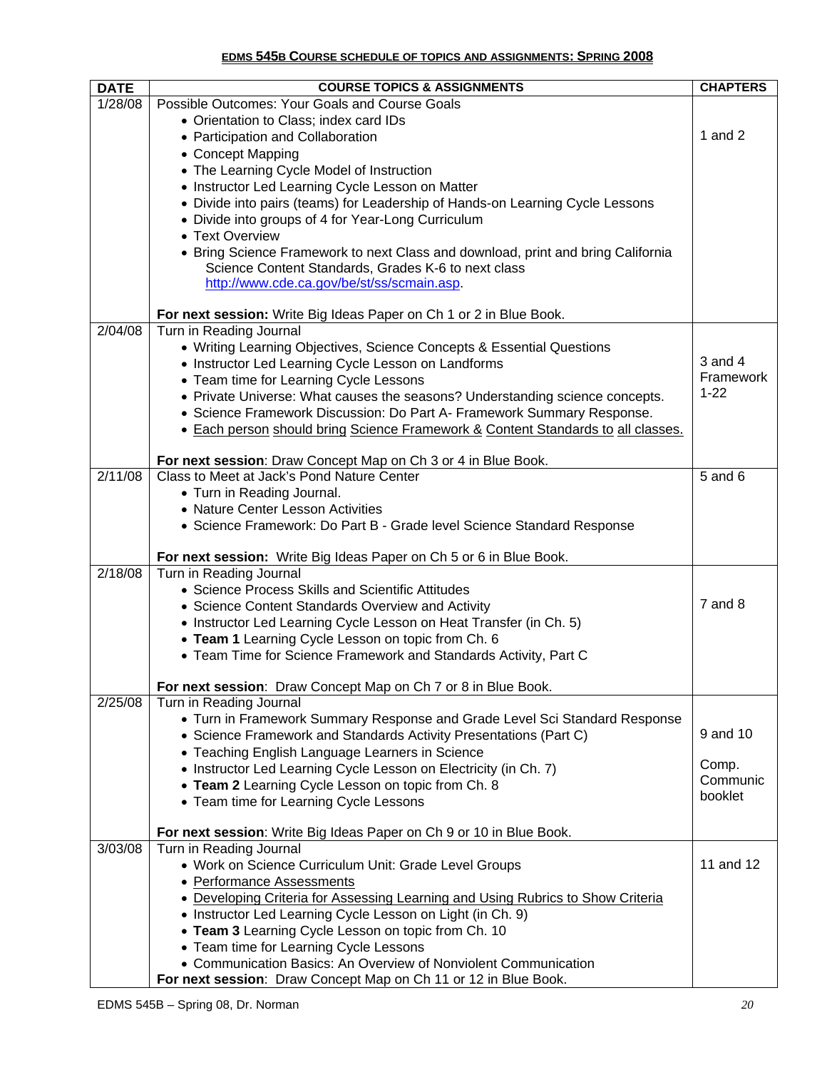### **EDMS 545B COURSE SCHEDULE OF TOPICS AND ASSIGNMENTS: SPRING 2008**

| <b>DATE</b>       | <b>COURSE TOPICS &amp; ASSIGNMENTS</b>                                                            | <b>CHAPTERS</b> |
|-------------------|---------------------------------------------------------------------------------------------------|-----------------|
| 1/28/08           | Possible Outcomes: Your Goals and Course Goals                                                    |                 |
|                   | • Orientation to Class; index card IDs                                                            |                 |
|                   | • Participation and Collaboration                                                                 | 1 and $2$       |
|                   | • Concept Mapping                                                                                 |                 |
|                   | • The Learning Cycle Model of Instruction                                                         |                 |
|                   | • Instructor Led Learning Cycle Lesson on Matter                                                  |                 |
|                   | • Divide into pairs (teams) for Leadership of Hands-on Learning Cycle Lessons                     |                 |
|                   | • Divide into groups of 4 for Year-Long Curriculum                                                |                 |
|                   | • Text Overview                                                                                   |                 |
|                   | • Bring Science Framework to next Class and download, print and bring California                  |                 |
|                   | Science Content Standards, Grades K-6 to next class<br>http://www.cde.ca.gov/be/st/ss/scmain.asp. |                 |
|                   |                                                                                                   |                 |
|                   | For next session: Write Big Ideas Paper on Ch 1 or 2 in Blue Book.                                |                 |
| 2/04/08           | Turn in Reading Journal                                                                           |                 |
|                   | • Writing Learning Objectives, Science Concepts & Essential Questions                             |                 |
|                   | • Instructor Led Learning Cycle Lesson on Landforms                                               | 3 and 4         |
|                   | • Team time for Learning Cycle Lessons                                                            | Framework       |
|                   | • Private Universe: What causes the seasons? Understanding science concepts.                      | $1 - 22$        |
|                   | • Science Framework Discussion: Do Part A- Framework Summary Response.                            |                 |
|                   | • Each person should bring Science Framework & Content Standards to all classes.                  |                 |
|                   |                                                                                                   |                 |
| $\frac{2}{11/08}$ | For next session: Draw Concept Map on Ch 3 or 4 in Blue Book.                                     |                 |
|                   | Class to Meet at Jack's Pond Nature Center                                                        | 5 and 6         |
|                   | • Turn in Reading Journal.<br>• Nature Center Lesson Activities                                   |                 |
|                   | • Science Framework: Do Part B - Grade level Science Standard Response                            |                 |
|                   |                                                                                                   |                 |
|                   | For next session: Write Big Ideas Paper on Ch 5 or 6 in Blue Book.                                |                 |
| 2/18/08           | Turn in Reading Journal                                                                           |                 |
|                   | • Science Process Skills and Scientific Attitudes                                                 |                 |
|                   | • Science Content Standards Overview and Activity                                                 | $7$ and $8$     |
|                   | • Instructor Led Learning Cycle Lesson on Heat Transfer (in Ch. 5)                                |                 |
|                   | • Team 1 Learning Cycle Lesson on topic from Ch. 6                                                |                 |
|                   | • Team Time for Science Framework and Standards Activity, Part C                                  |                 |
|                   | For next session: Draw Concept Map on Ch 7 or 8 in Blue Book.                                     |                 |
| 2/25/08           | Turn in Reading Journal                                                                           |                 |
|                   | • Turn in Framework Summary Response and Grade Level Sci Standard Response                        |                 |
|                   | • Science Framework and Standards Activity Presentations (Part C)                                 | 9 and 10        |
|                   | • Teaching English Language Learners in Science                                                   |                 |
|                   | • Instructor Led Learning Cycle Lesson on Electricity (in Ch. 7)                                  | Comp.           |
|                   | • Team 2 Learning Cycle Lesson on topic from Ch. 8                                                | Communic        |
|                   | • Team time for Learning Cycle Lessons                                                            | booklet         |
|                   |                                                                                                   |                 |
| 3/03/08           | For next session: Write Big Ideas Paper on Ch 9 or 10 in Blue Book.                               |                 |
|                   | Turn in Reading Journal<br>• Work on Science Curriculum Unit: Grade Level Groups                  | 11 and 12       |
|                   | • Performance Assessments                                                                         |                 |
|                   | • Developing Criteria for Assessing Learning and Using Rubrics to Show Criteria                   |                 |
|                   | • Instructor Led Learning Cycle Lesson on Light (in Ch. 9)                                        |                 |
|                   | • Team 3 Learning Cycle Lesson on topic from Ch. 10                                               |                 |
|                   | • Team time for Learning Cycle Lessons                                                            |                 |
|                   | • Communication Basics: An Overview of Nonviolent Communication                                   |                 |
|                   | For next session: Draw Concept Map on Ch 11 or 12 in Blue Book.                                   |                 |